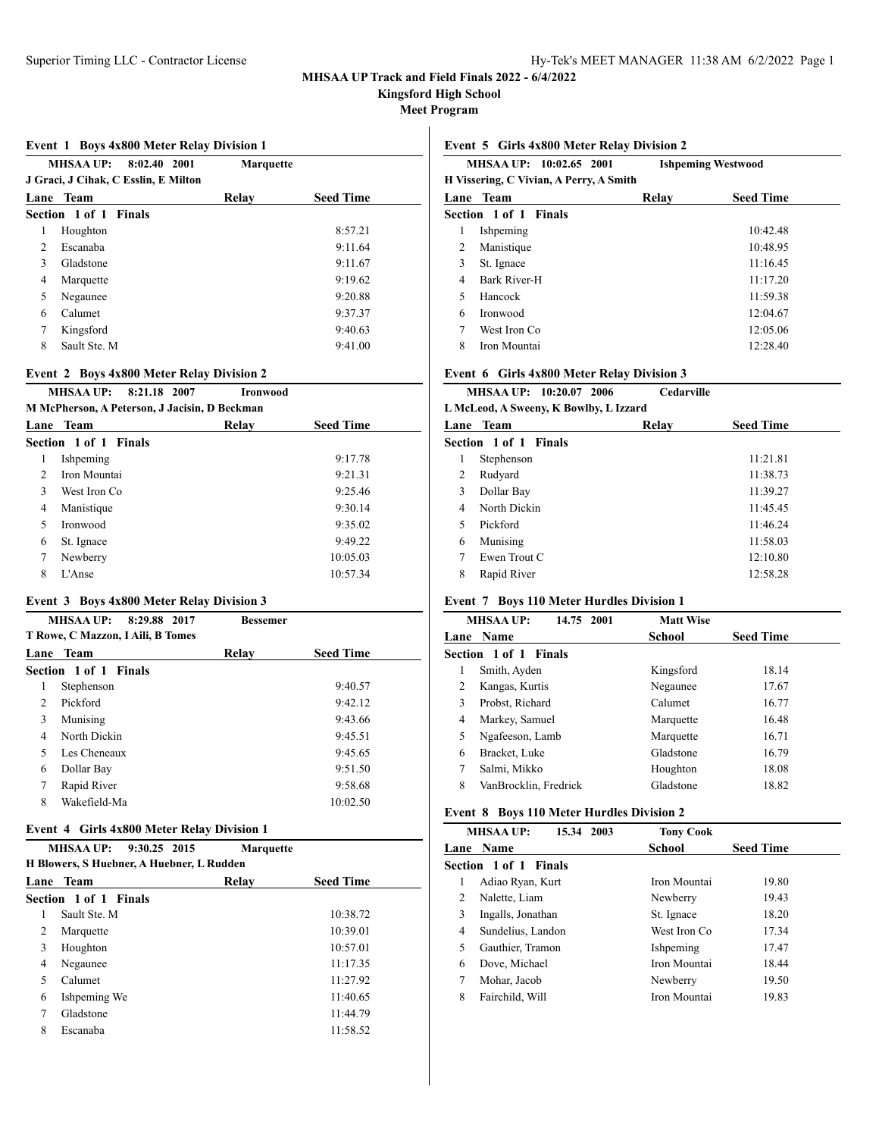**Kingsford High School**

**Meet Program**

### **Event 1 Boys 4x800 Meter Relay Division 1**

| <b>MHSAA UP:</b><br>8:02.40 2001<br>J Graci, J Cihak, C Esslin, E Milton |                       | <b>Marquette</b> |                  |
|--------------------------------------------------------------------------|-----------------------|------------------|------------------|
| Lane                                                                     | <b>Team</b>           | Relav            | <b>Seed Time</b> |
|                                                                          | Section 1 of 1 Finals |                  |                  |
| 1                                                                        | Houghton              |                  | 8:57.21          |
| 2                                                                        | Escanaba              |                  | 9:11.64          |
| 3                                                                        | Gladstone             |                  | 9:11.67          |
| 4                                                                        | Marquette             |                  | 9:19.62          |
| 5                                                                        | Negaunee              |                  | 9:20.88          |
| 6                                                                        | Calumet               |                  | 9:37.37          |
| 7                                                                        | Kingsford             |                  | 9:40.63          |
| 8                                                                        | Sault Ste. M          |                  | 9:41.00          |
|                                                                          |                       |                  |                  |

#### **Event 2 Boys 4x800 Meter Relay Division 2**

# **MHSAA UP: 8:21.18 2007 Ironwood**

**M McPherson, A Peterson, J Jacisin, D Beckman**

|               | Lane Team                    | Relav | <b>Seed Time</b> |
|---------------|------------------------------|-------|------------------|
|               | <b>Section 1 of 1 Finals</b> |       |                  |
|               | Ishpeming                    |       | 9:17.78          |
| $\mathcal{D}$ | Iron Mountai                 |       | 9:21.31          |
| 3             | West Iron Co.                |       | 9:25.46          |
| 4             | Manistique                   |       | 9:30.14          |
| 5             | <b>Ironwood</b>              |       | 9:35.02          |
| 6             | St. Ignace                   |       | 9:49.22          |
|               | Newberry                     |       | 10:05.03         |
| 8             | $L'$ Anse                    |       | 10:57.34         |
|               |                              |       |                  |

## **Event 3 Boys 4x800 Meter Relay Division 3**

|                | <b>MHSAA UP:</b><br>8:29.88 2017  | <b>Bessemer</b> |                  |
|----------------|-----------------------------------|-----------------|------------------|
|                | T Rowe, C Mazzon, I Aili, B Tomes |                 |                  |
| Lane           | Team                              | Relay           | <b>Seed Time</b> |
|                | Section 1 of 1 Finals             |                 |                  |
| 1              | Stephenson                        |                 | 9:40.57          |
| $\mathfrak{D}$ | Pickford                          |                 | 9:42.12          |
| 3              | Munising                          |                 | 9:43.66          |
| 4              | North Dickin                      |                 | 9:45.51          |
| 5              | Les Cheneaux                      |                 | 9:45.65          |
| 6              | Dollar Bay                        |                 | 9:51.50          |
| 7              | Rapid River                       |                 | 9:58.68          |
| 8              | Wakefield-Ma                      |                 | 10:02.50         |

## **Event 4 Girls 4x800 Meter Relay Division 1**

|                                           | <b>MHSAA UP:</b><br>9:30.25 2015 | <b>Marquette</b> |                  |  |  |
|-------------------------------------------|----------------------------------|------------------|------------------|--|--|
| H Blowers, S Huebner, A Huebner, L Rudden |                                  |                  |                  |  |  |
|                                           | <b>Lane Team</b>                 | Relay            | <b>Seed Time</b> |  |  |
|                                           | <b>Section 1 of 1 Finals</b>     |                  |                  |  |  |
|                                           | Sault Ste. M                     |                  | 10:38.72         |  |  |
| 2                                         | Marquette                        |                  | 10:39.01         |  |  |
| 3                                         | Houghton                         |                  | 10:57.01         |  |  |
| 4                                         | Negaunee                         |                  | 11:17.35         |  |  |
| 5                                         | Calumet                          |                  | 11:27.92         |  |  |
| 6                                         | Ishpeming We                     |                  | 11:40.65         |  |  |
| 7                                         | Gladstone                        |                  | 11:44.79         |  |  |
| 8                                         | Escanaba                         |                  | 11:58.52         |  |  |
|                                           |                                  |                  |                  |  |  |

### **Event 5 Girls 4x800 Meter Relay Division 2**

|   | MHSAA UP: 10:02.65 2001                 | <b>Ishpeming Westwood</b> |                  |
|---|-----------------------------------------|---------------------------|------------------|
|   | H Vissering, C Vivian, A Perry, A Smith |                           |                  |
|   | Lane Team                               | Relav                     | <b>Seed Time</b> |
|   | Section 1 of 1 Finals                   |                           |                  |
| 1 | Ishpeming                               |                           | 10:42.48         |
| 2 | Manistique                              |                           | 10:48.95         |
| 3 | St. Ignace                              |                           | 11:16.45         |
| 4 | Bark River-H                            |                           | 11:17.20         |
| 5 | Hancock                                 |                           | 11:59.38         |
| 6 | Ironwood                                |                           | 12:04.67         |
| 7 | West Iron Co                            |                           | 12:05.06         |
| 8 | Iron Mountai                            |                           | 12:28.40         |
|   |                                         |                           |                  |

## **Event 6 Girls 4x800 Meter Relay Division 3**

|                                        | MHSAA UP: 10:20.07 2006 | Cedarville |                  |  |  |  |
|----------------------------------------|-------------------------|------------|------------------|--|--|--|
| L McLeod, A Sweeny, K Bowlby, L Izzard |                         |            |                  |  |  |  |
|                                        | Lane Team               | Relav      | <b>Seed Time</b> |  |  |  |
|                                        | Section 1 of 1 Finals   |            |                  |  |  |  |
| 1                                      | Stephenson              |            | 11:21.81         |  |  |  |
| 2                                      | Rudyard                 |            | 11:38.73         |  |  |  |
| 3                                      | Dollar Bay              |            | 11:39.27         |  |  |  |
| 4                                      | North Dickin            |            | 11:45.45         |  |  |  |
| 5                                      | Pickford                |            | 11:46.24         |  |  |  |
| 6                                      | Munising                |            | 11:58.03         |  |  |  |
| 7                                      | Ewen Trout C            |            | 12:10.80         |  |  |  |
| 8                                      | Rapid River             |            | 12:58.28         |  |  |  |
|                                        |                         |            |                  |  |  |  |

## **Event 7 Boys 110 Meter Hurdles Division 1**

|   | <b>MHSAA UP:</b><br>14.75 2001 | <b>Matt Wise</b> |                  |
|---|--------------------------------|------------------|------------------|
|   | <b>Lane Name</b>               | School           | <b>Seed Time</b> |
|   | Section 1 of 1 Finals          |                  |                  |
| 1 | Smith, Ayden                   | Kingsford        | 18.14            |
| 2 | Kangas, Kurtis                 | Negaunee         | 17.67            |
| 3 | Probst, Richard                | Calumet          | 16.77            |
| 4 | Markey, Samuel                 | Marquette        | 16.48            |
| 5 | Ngafeeson, Lamb                | Marquette        | 16.71            |
| 6 | Bracket, Luke                  | Gladstone        | 16.79            |
| 7 | Salmi, Mikko                   | Houghton         | 18.08            |
| 8 | VanBrocklin, Fredrick          | Gladstone        | 18.82            |

## **Event 8 Boys 110 Meter Hurdles Division 2**

| <b>MHSAA UP:</b>       | 15.34 2003        | <b>Tony Cook</b> |                  |
|------------------------|-------------------|------------------|------------------|
| <b>Lane Name</b>       |                   | School           | <b>Seed Time</b> |
| Section 1 of 1 Finals  |                   |                  |                  |
| Adiao Ryan, Kurt<br>1  |                   | Iron Mountai     | 19.80            |
| Nalette, Liam<br>2     |                   | Newberry         | 19.43            |
| 3<br>Ingalls, Jonathan |                   | St. Ignace       | 18.20            |
| 4                      | Sundelius, Landon | West Iron Co     | 17.34            |
| 5<br>Gauthier, Tramon  |                   | Ishpeming        | 17.47            |
| Dove, Michael<br>6     |                   | Iron Mountai     | 18.44            |
| 7<br>Mohar, Jacob      |                   | Newberry         | 19.50            |
| 8<br>Fairchild, Will   |                   | Iron Mountai     | 19.83            |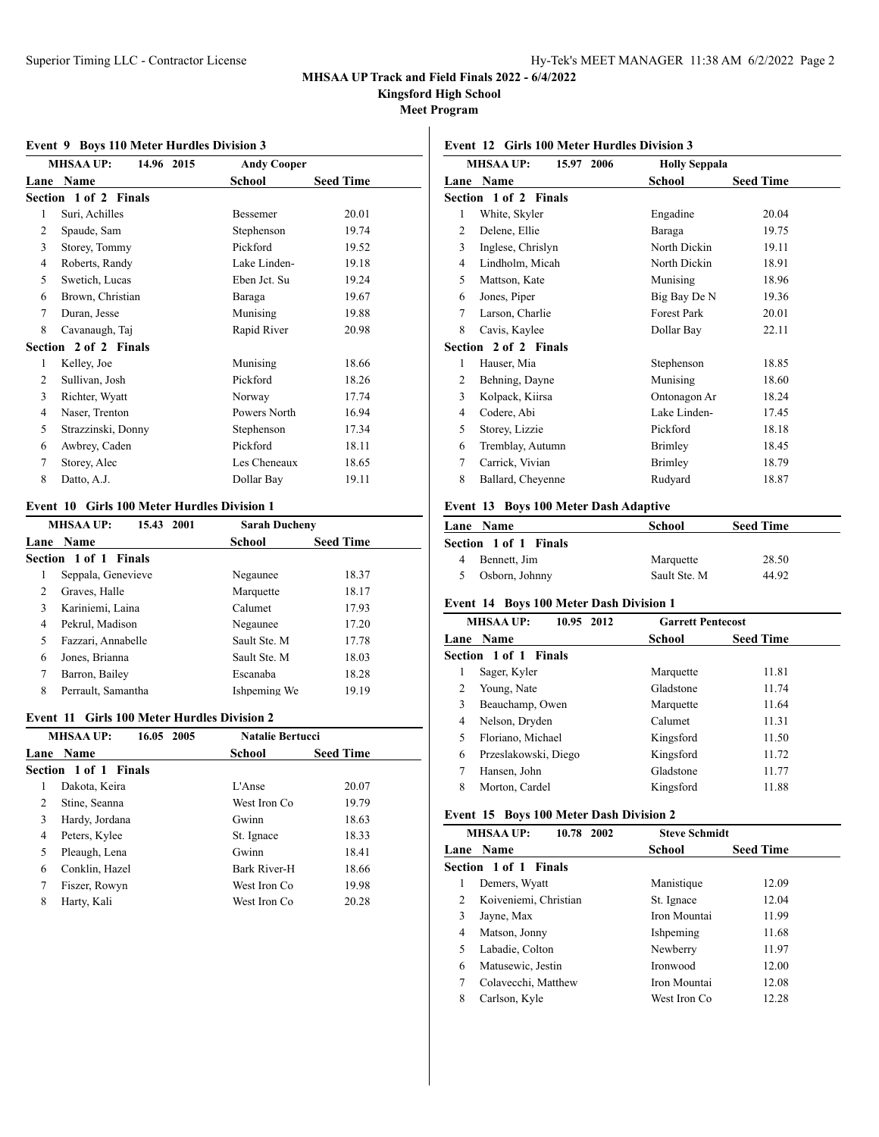**Kingsford High School**

**Meet Program**

## **MHSAA UP: 14.96 2015 Andy Cooper Lane Name School Seed Time Section 1 of 2 Finals** 1 Suri, Achilles Bessemer 20.01 2 Spaude, Sam Stephenson 19.74 3 Storey, Tommy Pickford 19.52 4 Roberts, Randy Lake Linden- 19.18 5 Swetich, Lucas Eben Jct. Su 19.24 6 Brown, Christian Baraga 19.67 7 Duran, Jesse Munising 19.88 8 Cavanaugh, Taj Rapid River 20.98 **Section 2 of 2 Finals** 1 Kelley, Joe Munising 18.66 2 Sullivan, Josh Pickford 18.26 3 Richter, Wyatt Norway 17.74 4 Naser, Trenton Powers North 16.94 5 Strazzinski, Donny Stephenson 17.34 6 Awbrey, Caden Pickford 18.11 7 Storey, Alec Les Cheneaux 18.65 8 Datto, A.J. Dollar Bay 19.11

### **Event 9 Boys 110 Meter Hurdles Division 3**

#### **Event 10 Girls 100 Meter Hurdles Division 1**

|   | <b>MHSAA UP:</b><br>15.43 2001 | <b>Sarah Ducheny</b> |                  |
|---|--------------------------------|----------------------|------------------|
|   | <b>Lane Name</b>               | <b>School</b>        | <b>Seed Time</b> |
|   | Section 1 of 1 Finals          |                      |                  |
|   | Seppala, Genevieve             | Negaunee             | 18.37            |
| 2 | Graves, Halle                  | Marquette            | 18.17            |
| 3 | Kariniemi, Laina               | Calumet              | 17.93            |
| 4 | Pekrul, Madison                | Negaunee             | 17.20            |
| 5 | Fazzari, Annabelle             | Sault Ste. M         | 17.78            |
| 6 | Jones, Brianna                 | Sault Ste. M         | 18.03            |
| 7 | Barron, Bailey                 | Escanaba             | 18.28            |
| 8 | Perrault, Samantha             | Ishpeming We         | 19.19            |

#### **Event 11 Girls 100 Meter Hurdles Division 2**

|   | <b>MHSAAUP:</b><br>16.05 2005 | <b>Natalie Bertucci</b> |                  |
|---|-------------------------------|-------------------------|------------------|
|   | Lane Name                     | <b>School</b>           | <b>Seed Time</b> |
|   | Section 1 of 1 Finals         |                         |                  |
| L | Dakota, Keira                 | $L'$ Anse               | 20.07            |
| 2 | Stine, Seanna                 | West Iron Co            | 19.79            |
| 3 | Hardy, Jordana                | Gwinn                   | 18.63            |
| 4 | Peters, Kylee                 | St. Ignace              | 18.33            |
| 5 | Pleaugh, Lena                 | Gwinn                   | 18.41            |
| 6 | Conklin, Hazel                | Bark River-H            | 18.66            |
| 7 | Fiszer, Rowyn                 | West Iron Co.           | 19.98            |
| 8 | Harty, Kali                   | West Iron Co            | 20.28            |
|   |                               |                         |                  |

# **Event 12 Girls 100 Meter Hurdles Division 3**

|                | <b>MHSAA UP:</b><br>15.97 2006 | <b>Holly Seppala</b> |                  |
|----------------|--------------------------------|----------------------|------------------|
| Lane           | Name                           | School               | <b>Seed Time</b> |
|                | Section 1 of 2 Finals          |                      |                  |
| 1              | White, Skyler                  | Engadine             | 20.04            |
| 2              | Delene, Ellie                  | Baraga               | 19.75            |
| 3              | Inglese, Chrislyn              | North Dickin         | 19.11            |
| 4              | Lindholm, Micah                | North Dickin         | 18.91            |
| 5              | Mattson, Kate                  | Munising             | 18.96            |
| 6              | Jones, Piper                   | Big Bay De N         | 19.36            |
| 7              | Larson, Charlie                | <b>Forest Park</b>   | 20.01            |
| 8              | Cavis, Kaylee                  | Dollar Bay           | 22.11            |
|                | Section 2 of 2 Finals          |                      |                  |
| 1              | Hauser, Mia                    | Stephenson           | 18.85            |
| 2              | Behning, Dayne                 | Munising             | 18.60            |
| 3              | Kolpack, Kiirsa                | Ontonagon Ar         | 18.24            |
| $\overline{4}$ | Codere, Abi                    | Lake Linden-         | 17.45            |
| 5              | Storey, Lizzie                 | Pickford             | 18.18            |
| 6              | Tremblay, Autumn               | Brimley              | 18.45            |
| 7              | Carrick, Vivian                | Brimley              | 18.79            |
| 8              | Ballard, Cheyenne              | Rudyard              | 18.87            |

### **Event 13 Boys 100 Meter Dash Adaptive**

| <b>Lane Name</b>      | School       | <b>Seed Time</b> |
|-----------------------|--------------|------------------|
| Section 1 of 1 Finals |              |                  |
| Bennett, Jim          | Marquette    | 28.50            |
| Osborn, Johnny        | Sault Ste. M | 44.92            |
|                       |              |                  |

#### **Event 14 Boys 100 Meter Dash Division 1**

| 10.95 2012<br><b>MHSAA UP:</b> | <b>Garrett Pentecost</b> |                  |
|--------------------------------|--------------------------|------------------|
| <b>Lane Name</b>               | School                   | <b>Seed Time</b> |
| Section 1 of 1 Finals          |                          |                  |
| Sager, Kyler<br>ı              | Marquette                | 11.81            |
| Young, Nate                    | Gladstone                | 11.74            |
| 3<br>Beauchamp, Owen           | Marquette                | 11.64            |
| Nelson, Dryden<br>4            | Calumet                  | 11.31            |
| Floriano, Michael<br>5         | Kingsford                | 11.50            |
| Przeslakowski, Diego<br>6      | Kingsford                | 11.72            |
| Hansen, John                   | Gladstone                | 11.77            |
| 8<br>Morton, Cardel            | Kingsford                | 11.88            |
|                                |                          |                  |

#### **Event 15 Boys 100 Meter Dash Division 2**

|   | <b>MHSAA UP:</b><br>10.78 2002 | <b>Steve Schmidt</b> |                  |  |
|---|--------------------------------|----------------------|------------------|--|
|   | <b>Lane Name</b>               | School               | <b>Seed Time</b> |  |
|   | Section 1 of 1 Finals          |                      |                  |  |
|   | Demers, Wyatt                  | Manistique           | 12.09            |  |
| 2 | Koiveniemi, Christian          | St. Ignace           | 12.04            |  |
| 3 | Jayne, Max                     | Iron Mountai         | 11.99            |  |
| 4 | Matson, Jonny                  | Ishpeming            | 11.68            |  |
| 5 | Labadie, Colton                | Newberry             | 11.97            |  |
| 6 | Matusewic, Jestin              | Ironwood             | 12.00            |  |
|   | Colavecchi, Matthew            | Iron Mountai         | 12.08            |  |
| 8 | Carlson, Kyle                  | West Iron Co         | 12.28            |  |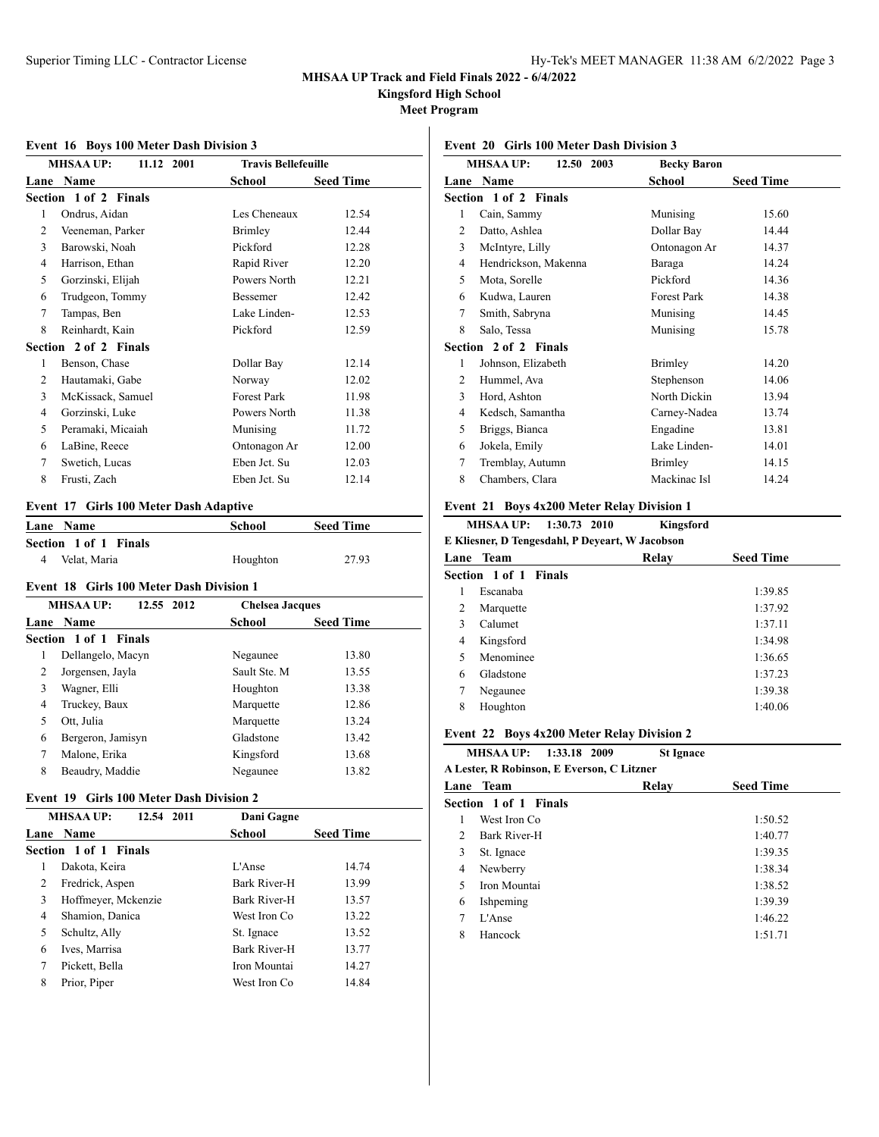**Kingsford High School**

**Meet Program**

|      | <b>MHSAA UP:</b><br>11.12 2001 | <b>Travis Bellefeuille</b> |                  |
|------|--------------------------------|----------------------------|------------------|
| Lane | Name                           | School                     | <b>Seed Time</b> |
|      | Section 1 of 2 Finals          |                            |                  |
| 1    | Ondrus, Aidan                  | Les Cheneaux               | 12.54            |
| 2    | Veeneman, Parker               | Brimley                    | 12.44            |
| 3    | Barowski, Noah                 | Pickford                   | 12.28            |
| 4    | Harrison, Ethan                | Rapid River                | 12.20            |
| 5    | Gorzinski, Elijah              | Powers North               | 12.21            |
| 6    | Trudgeon, Tommy                | Bessemer                   | 12.42            |
| 7    | Tampas, Ben                    | Lake Linden-               | 12.53            |
| 8    | Reinhardt, Kain                | Pickford                   | 12.59            |
|      | Section 2 of 2 Finals          |                            |                  |
| 1    | Benson, Chase                  | Dollar Bay                 | 12.14            |
| 2    | Hautamaki, Gabe                | Norway                     | 12.02            |
| 3    | McKissack, Samuel              | Forest Park                | 11.98            |
| 4    | Gorzinski, Luke                | Powers North               | 11.38            |
| 5    | Peramaki, Micaiah              | Munising                   | 11.72            |
| 6    | LaBine, Reece                  | Ontonagon Ar               | 12.00            |
| 7    | Swetich, Lucas                 | Eben Jct. Su               | 12.03            |
| 8    | Frusti, Zach                   | Eben Jct. Su               | 12.14            |

# **Event 16 Boys 100 Meter Dash Division 3**

### **Event 17 Girls 100 Meter Dash Adaptive**

| <b>Lane Name</b>      | School   | <b>Seed Time</b> |  |
|-----------------------|----------|------------------|--|
| Section 1 of 1 Finals |          |                  |  |
| Velat. Maria<br>4     | Houghton | 27.93            |  |

#### **Event 18 Girls 100 Meter Dash Division 1**

| <b>MHSAA UP:</b><br>12.55 2012 |               | <b>Chelsea Jacques</b> |  |
|--------------------------------|---------------|------------------------|--|
| <b>Lane Name</b>               | <b>School</b> | <b>Seed Time</b>       |  |
| <b>Section 1 of 1 Finals</b>   |               |                        |  |
| Dellangelo, Macyn<br>1         | Negaunee      | 13.80                  |  |
| 2<br>Jorgensen, Jayla          | Sault Ste. M  | 13.55                  |  |
| 3<br>Wagner, Elli              | Houghton      | 13.38                  |  |
| Truckey, Baux<br>4             | Marquette     | 12.86                  |  |
| Ott. Julia<br>5                | Marquette     | 13.24                  |  |
| Bergeron, Jamisyn<br>6         | Gladstone     | 13.42                  |  |
| 7<br>Malone, Erika             | Kingsford     | 13.68                  |  |
| 8<br>Beaudry, Maddie           | Negaunee      | 13.82                  |  |
|                                |               |                        |  |

# **Event 19 Girls 100 Meter Dash Division 2**

| <b>MHSAA UP:</b><br>12.54 2011 | Dani Gagne    |                  |  |
|--------------------------------|---------------|------------------|--|
| <b>Lane Name</b>               | <b>School</b> | <b>Seed Time</b> |  |
| <b>Section 1 of 1 Finals</b>   |               |                  |  |
| Dakota, Keira                  | L'Anse        | 14.74            |  |
| Fredrick, Aspen<br>2           | Bark River-H  | 13.99            |  |
| Hoffmeyer, Mckenzie<br>3       | Bark River-H  | 13.57            |  |
| Shamion, Danica<br>4           | West Iron Co. | 13.22            |  |
| 5<br>Schultz, Ally             | St. Ignace    | 13.52            |  |
| Ives, Marrisa<br>6             | Bark River-H  | 13.77            |  |
| 7<br>Pickett, Bella            | Iron Mountai  | 14.27            |  |
| 8<br>Prior, Piper              | West Iron Co  | 14.84            |  |
|                                |               |                  |  |

# **Event 20 Girls 100 Meter Dash Division 3**

|   | <b>MHSAA UP:</b><br>12.50 2003 | <b>Becky Baron</b> |                  |
|---|--------------------------------|--------------------|------------------|
|   | Lane Name                      | School             | <b>Seed Time</b> |
|   | Section 1 of 2 Finals          |                    |                  |
| 1 | Cain, Sammy                    | Munising           | 15.60            |
| 2 | Datto, Ashlea                  | Dollar Bay         | 14.44            |
| 3 | McIntyre, Lilly                | Ontonagon Ar       | 14.37            |
| 4 | Hendrickson, Makenna           | Baraga             | 14.24            |
| 5 | Mota, Sorelle                  | Pickford           | 14.36            |
| 6 | Kudwa, Lauren                  | <b>Forest Park</b> | 14.38            |
| 7 | Smith, Sabryna                 | Munising           | 14.45            |
| 8 | Salo, Tessa                    | Munising           | 15.78            |
|   | Section 2 of 2 Finals          |                    |                  |
| 1 | Johnson, Elizabeth             | <b>Brimley</b>     | 14.20            |
| 2 | Hummel, Ava                    | Stephenson         | 14.06            |
| 3 | Hord, Ashton                   | North Dickin       | 13.94            |
| 4 | Kedsch, Samantha               | Carney-Nadea       | 13.74            |
| 5 | Briggs, Bianca                 | Engadine           | 13.81            |
| 6 | Jokela, Emily                  | Lake Linden-       | 14.01            |
| 7 | Tremblay, Autumn               | Brimley            | 14.15            |
| 8 | Chambers, Clara                | Mackinac Isl       | 14.24            |
|   |                                |                    |                  |

### **Event 21 Boys 4x200 Meter Relay Division 1**

|      | 1:30.73 2010<br><b>MHSAA UP:</b>                | Kingsford |                  |  |
|------|-------------------------------------------------|-----------|------------------|--|
|      | E Kliesner, D Tengesdahl, P Deyeart, W Jacobson |           |                  |  |
| Lane | Team                                            | Relay     | <b>Seed Time</b> |  |
|      | Section 1 of 1 Finals                           |           |                  |  |
| 1    | Escanaba                                        |           | 1:39.85          |  |
| 2    | Marquette                                       |           | 1:37.92          |  |
| 3    | Calumet                                         |           | 1:37.11          |  |
| 4    | Kingsford                                       |           | 1:34.98          |  |
| 5    | Menominee                                       |           | 1:36.65          |  |
| 6    | Gladstone                                       |           | 1:37.23          |  |
| 7    | Negaunee                                        |           | 1:39.38          |  |
| 8    | Houghton                                        |           | 1:40.06          |  |
|      |                                                 |           |                  |  |

### **Event 22 Boys 4x200 Meter Relay Division 2**

**MHSAA UP: 1:33.18 2009 St Ignace A Lester, R Robinson, E Everson, C Litzner**

|                | А Есмен, іх корпізон, е етсі зон, є еніzнен |       |                  |  |
|----------------|---------------------------------------------|-------|------------------|--|
|                | Lane Team                                   | Relay | <b>Seed Time</b> |  |
|                | Section 1 of 1 Finals                       |       |                  |  |
|                | West Iron Co                                |       | 1:50.52          |  |
| $\mathfrak{D}$ | Bark River-H                                |       | 1:40.77          |  |
| 3              | St. Ignace                                  |       | 1:39.35          |  |
| 4              | Newberry                                    |       | 1:38.34          |  |
| 5              | Iron Mountai                                |       | 1:38.52          |  |
| 6              | Ishpeming                                   |       | 1:39.39          |  |
| 7              | L'Anse                                      |       | 1:46.22          |  |
| 8              | Hancock                                     |       | 1:51.71          |  |
|                |                                             |       |                  |  |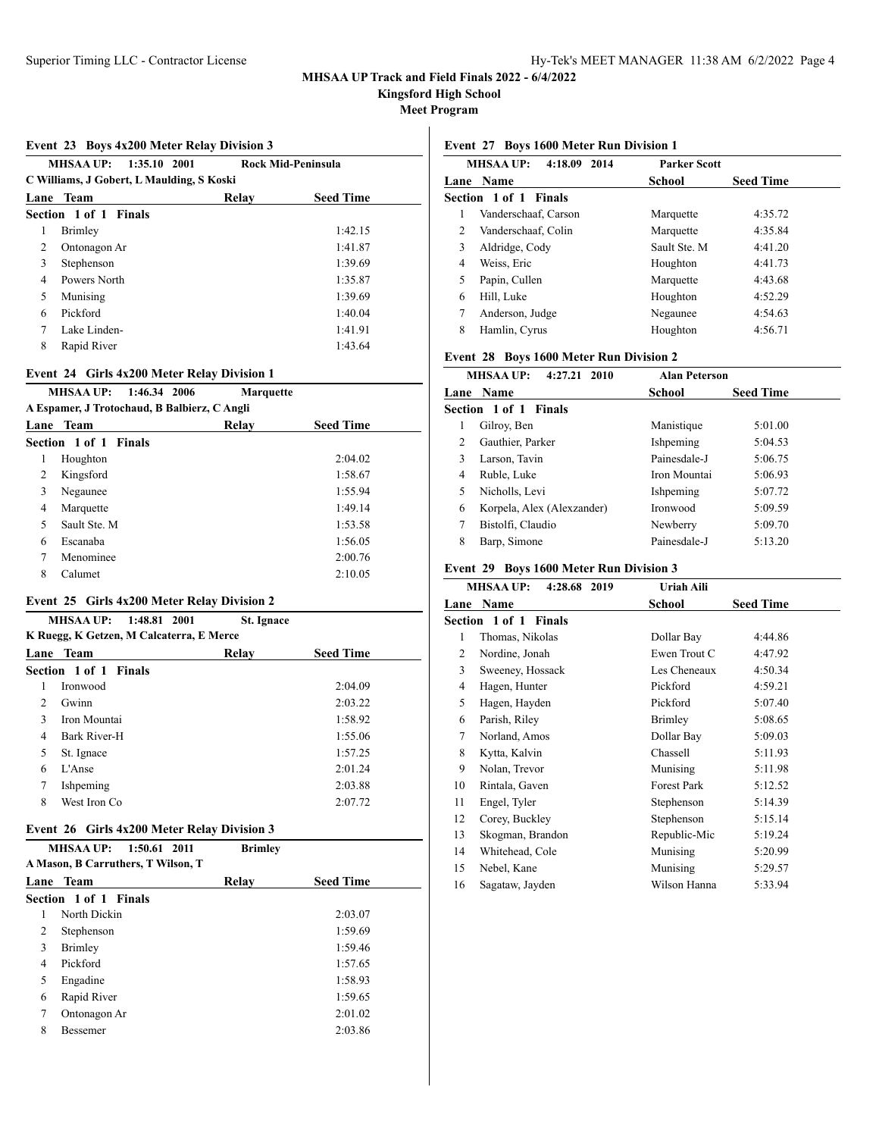**Kingsford High School**

**Meet Program**

#### **Event 23 Boys 4x200 Meter Relay Division 3**

| <b>MHSAA UP:</b><br><b>Rock Mid-Peninsula</b><br>1:35.10 2001<br>C Williams, J Gobert, L Maulding, S Koski |                       |                  |         |
|------------------------------------------------------------------------------------------------------------|-----------------------|------------------|---------|
| Lane                                                                                                       | Team                  | <b>Seed Time</b> |         |
|                                                                                                            | Section 1 of 1 Finals |                  |         |
| 1                                                                                                          | Brimley               |                  | 1:42.15 |
| 2                                                                                                          | Ontonagon Ar          |                  | 1:41.87 |
| 3                                                                                                          | Stephenson            |                  | 1:39.69 |
| 4                                                                                                          | Powers North          |                  | 1:35.87 |
| 5                                                                                                          | Munising              |                  | 1:39.69 |
| 6                                                                                                          | Pickford              |                  | 1:40.04 |
| 7                                                                                                          | Lake Linden-          |                  | 1:41.91 |
| 8                                                                                                          | Rapid River           |                  | 1:43.64 |
|                                                                                                            |                       |                  |         |

#### **Event 24 Girls 4x200 Meter Relay Division 1**

#### **MHSAA UP: 1:46.34 2006 Marquette A Espamer, J Trotochaud, B Balbierz, C Angli**

|   | A Espainti, o Trouvenauu, D Daibierz, C Align |       |                  |  |
|---|-----------------------------------------------|-------|------------------|--|
|   | Lane Team                                     | Relav | <b>Seed Time</b> |  |
|   | Section 1 of 1 Finals                         |       |                  |  |
| 1 | Houghton                                      |       | 2:04.02          |  |
| 2 | Kingsford                                     |       | 1:58.67          |  |
| 3 | Negaunee                                      |       | 1:55.94          |  |
| 4 | Marquette                                     |       | 1:49.14          |  |
| 5 | Sault Ste. M                                  |       | 1:53.58          |  |
| 6 | Escanaba                                      |       | 1:56.05          |  |
| 7 | Menominee                                     |       | 2:00.76          |  |
| 8 | Calumet                                       |       | 2:10.05          |  |
|   |                                               |       |                  |  |

### **Event 25 Girls 4x200 Meter Relay Division 2**

|                                          | <b>MHSAA UP:</b><br>1:48.81 2001 | St. Ignace |                  |  |  |
|------------------------------------------|----------------------------------|------------|------------------|--|--|
| K Ruegg, K Getzen, M Calcaterra, E Merce |                                  |            |                  |  |  |
| Lane                                     | Team                             | Relay      | <b>Seed Time</b> |  |  |
|                                          | Section 1 of 1 Finals            |            |                  |  |  |
| 1                                        | Ironwood                         |            | 2:04.09          |  |  |
| $\mathfrak{D}$                           | Gwinn                            |            | 2:03.22          |  |  |
| 3                                        | Iron Mountai                     |            | 1:58.92          |  |  |
| 4                                        | Bark River-H                     |            | 1:55.06          |  |  |
| 5                                        | St. Ignace                       |            | 1:57.25          |  |  |
| 6                                        | L'Anse                           |            | 2:01.24          |  |  |
| 7                                        | Ishpeming                        |            | 2:03.88          |  |  |
| 8                                        | West Iron Co                     |            | 2:07.72          |  |  |
|                                          |                                  |            |                  |  |  |

# **Event 26 Girls 4x200 Meter Relay Division 3**

# **MHSAA UP: 1:50.61 2011 Brimley A Mason, B Carruthers, T Wilson, T Lane Team Relay Seed Time Section 1 of 1 Finals** North Dickin 2:03.07 Stephenson 1:59.69 Brimley 1:59.46 Pickford 1:57.65 Engadine 1:58.93 Rapid River 1:59.65 Ontonagon Ar 2:01.02 Bessemer 2:03.86

### **Event 27 Boys 1600 Meter Run Division 1**

| <b>MHSAA UP:</b><br>4:18.09 2014 | <b>Parker Scott</b> |                  |  |
|----------------------------------|---------------------|------------------|--|
| Lane Name                        | School              | <b>Seed Time</b> |  |
| Section 1 of 1 Finals            |                     |                  |  |
| Vanderschaaf, Carson<br>1        | Marquette           | 4:35.72          |  |
| 2<br>Vanderschaaf, Colin         | Marquette           | 4:35.84          |  |
| 3<br>Aldridge, Cody              | Sault Ste. M        | 4:41.20          |  |
| Weiss, Eric<br>4                 | Houghton            | 4:41.73          |  |
| 5<br>Papin, Cullen               | Marquette           | 4:43.68          |  |
| Hill, Luke<br>6                  | Houghton            | 4:52.29          |  |
| 7<br>Anderson, Judge             | Negaunee            | 4:54.63          |  |
| 8<br>Hamlin, Cyrus               | Houghton            | 4:56.71          |  |
|                                  |                     |                  |  |

### **Event 28 Boys 1600 Meter Run Division 2**

|                | <b>MHSAA UP:</b><br>4:27.21 2010 | <b>Alan Peterson</b> |                  |
|----------------|----------------------------------|----------------------|------------------|
|                | <b>Lane Name</b>                 | School               | <b>Seed Time</b> |
|                | Section 1 of 1 Finals            |                      |                  |
|                | Gilroy, Ben                      | Manistique           | 5:01.00          |
| $\mathfrak{D}$ | Gauthier, Parker                 | Ishpeming            | 5:04.53          |
| 3              | Larson, Tavin                    | Painesdale-J         | 5:06.75          |
| 4              | Ruble, Luke                      | Iron Mountai         | 5:06.93          |
| 5              | Nicholls, Levi                   | Ishpeming            | 5:07.72          |
| 6              | Korpela, Alex (Alexzander)       | Ironwood             | 5:09.59          |
| 7              | Bistolfi, Claudio                | Newberry             | 5:09.70          |
| 8              | Barp, Simone                     | Painesdale-J         | 5:13.20          |

### **Event 29 Boys 1600 Meter Run Division 3**

|      | <b>MHSAA UP:</b><br>4:28.68 2019 | Uriah Aili         |                  |
|------|----------------------------------|--------------------|------------------|
| Lane | Name                             | School             | <b>Seed Time</b> |
|      | <b>Section 1 of 1 Finals</b>     |                    |                  |
| 1    | Thomas, Nikolas                  | Dollar Bay         | 4:44.86          |
| 2    | Nordine, Jonah                   | Ewen Trout C       | 4:47.92          |
| 3    | Sweeney, Hossack                 | Les Cheneaux       | 4:50.34          |
| 4    | Hagen, Hunter                    | Pickford           | 4:59.21          |
| 5    | Hagen, Hayden                    | Pickford           | 5:07.40          |
| 6    | Parish, Riley                    | Brimley            | 5:08.65          |
| 7    | Norland, Amos                    | Dollar Bay         | 5:09.03          |
| 8    | Kytta, Kalvin                    | Chassell           | 5:11.93          |
| 9    | Nolan, Trevor                    | Munising           | 5:11.98          |
| 10   | Rintala, Gaven                   | <b>Forest Park</b> | 5:12.52          |
| 11   | Engel, Tyler                     | Stephenson         | 5:14.39          |
| 12   | Corey, Buckley                   | Stephenson         | 5:15.14          |
| 13   | Skogman, Brandon                 | Republic-Mic       | 5:19.24          |
| 14   | Whitehead, Cole                  | Munising           | 5:20.99          |
| 15   | Nebel, Kane                      | Munising           | 5:29.57          |
| 16   | Sagataw, Jayden                  | Wilson Hanna       | 5:33.94          |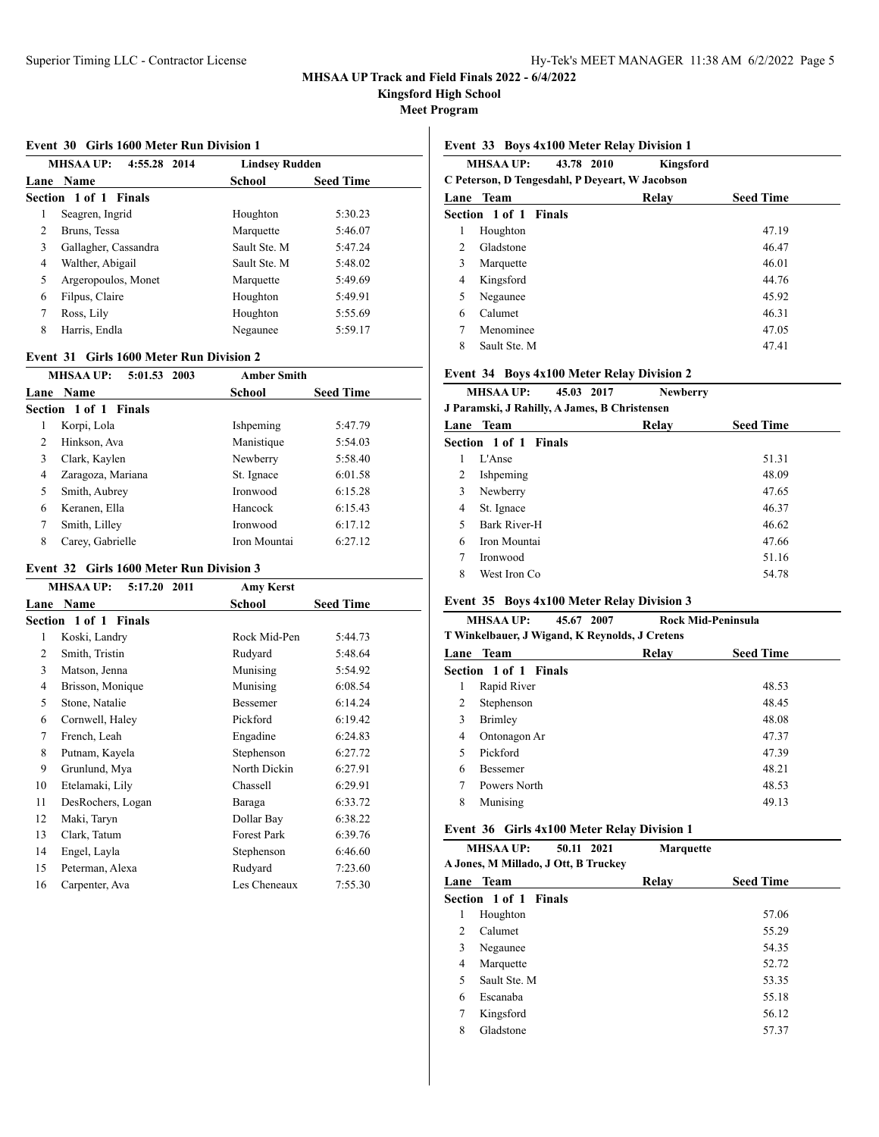**Kingsford High School**

**Meet Program**

#### **Event 30 Girls 1600 Meter Run Division 1**

| MHSAA UP:<br>4:55.28 2014 |                       | <b>Lindsey Rudden</b> |                  |
|---------------------------|-----------------------|-----------------------|------------------|
|                           | Lane Name             | School                | <b>Seed Time</b> |
|                           | Section 1 of 1 Finals |                       |                  |
| 1                         | Seagren, Ingrid       | Houghton              | 5:30.23          |
| $\mathfrak{D}$            | Bruns, Tessa          | Marquette             | 5:46.07          |
| 3                         | Gallagher, Cassandra  | Sault Ste. M          | 5:47.24          |
| 4                         | Walther, Abigail      | Sault Ste. M          | 5:48.02          |
| 5                         | Argeropoulos, Monet   | Marquette             | 5:49.69          |
| 6                         | Filpus, Claire        | Houghton              | 5:49.91          |
| 7                         | Ross, Lily            | Houghton              | 5:55.69          |
| 8                         | Harris, Endla         | Negaunee              | 5:59.17          |
|                           |                       |                       |                  |

### **Event 31 Girls 1600 Meter Run Division 2**

|   | <b>MHSAA UP:</b><br>5:01.53 2003 | <b>Amber Smith</b> |                  |
|---|----------------------------------|--------------------|------------------|
|   | Lane Name                        | School             | <b>Seed Time</b> |
|   | Section 1 of 1 Finals            |                    |                  |
| 1 | Korpi, Lola                      | Ishpeming          | 5:47.79          |
| 2 | Hinkson, Ava                     | Manistique         | 5:54.03          |
| 3 | Clark, Kaylen                    | Newberry           | 5:58.40          |
| 4 | Zaragoza, Mariana                | St. Ignace         | 6:01.58          |
| 5 | Smith, Aubrey                    | <b>Ironwood</b>    | 6:15.28          |
| 6 | Keranen, Ella                    | Hancock            | 6:15.43          |
| 7 | Smith, Lilley                    | Ironwood           | 6:17.12          |
| 8 | Carey, Gabrielle                 | Iron Mountai       | 6:27.12          |

## **Event 32 Girls 1600 Meter Run Division 3**

|      | <b>MHSAA UP:</b><br>5:17.20<br>2011 | <b>Amy Kerst</b>   |                  |
|------|-------------------------------------|--------------------|------------------|
| Lane | Name                                | School             | <b>Seed Time</b> |
|      | Section 1 of 1 Finals               |                    |                  |
| 1    | Koski, Landry                       | Rock Mid-Pen       | 5:44.73          |
| 2    | Smith, Tristin                      | Rudyard            | 5:48.64          |
| 3    | Matson, Jenna                       | Munising           | 5:54.92          |
| 4    | Brisson, Monique                    | Munising           | 6:08.54          |
| 5    | Stone, Natalie                      | <b>Bessemer</b>    | 6:14.24          |
| 6    | Cornwell, Haley                     | Pickford           | 6:19.42          |
| 7    | French, Leah                        | Engadine           | 6:24.83          |
| 8    | Putnam, Kayela                      | Stephenson         | 6:27.72          |
| 9    | Grunlund, Mya                       | North Dickin       | 6:27.91          |
| 10   | Etelamaki, Lily                     | Chassell           | 6:29.91          |
| 11   | DesRochers, Logan                   | Baraga             | 6:33.72          |
| 12   | Maki, Taryn                         | Dollar Bay         | 6:38.22          |
| 13   | Clark, Tatum                        | <b>Forest Park</b> | 6:39.76          |
| 14   | Engel, Layla                        | Stephenson         | 6:46.60          |
| 15   | Peterman, Alexa                     | Rudyard            | 7:23.60          |
| 16   | Carpenter, Ava                      | Les Cheneaux       | 7:55.30          |
|      |                                     |                    |                  |

### **Event 33 Boys 4x100 Meter Relay Division 1**

|                             | <b>MHSAA UP:</b><br>43.78 2010                  | <b>Kingsford</b> |                  |  |
|-----------------------------|-------------------------------------------------|------------------|------------------|--|
|                             | C Peterson, D Tengesdahl, P Deyeart, W Jacobson |                  |                  |  |
|                             | <b>Lane Team</b>                                | Relay            | <b>Seed Time</b> |  |
|                             | <b>Section 1 of 1 Finals</b>                    |                  |                  |  |
| 1                           | Houghton                                        |                  | 47.19            |  |
| $\mathcal{D}_{\mathcal{L}}$ | Gladstone                                       |                  | 46.47            |  |
| 3                           | Marquette                                       |                  | 46.01            |  |
| 4                           | Kingsford                                       |                  | 44.76            |  |
| 5                           | Negaunee                                        |                  | 45.92            |  |
| 6                           | Calumet                                         |                  | 46.31            |  |
| 7                           | Menominee                                       |                  | 47.05            |  |
| 8                           | Sault Ste. M                                    |                  | 47.41            |  |
|                             |                                                 |                  |                  |  |

### **Event 34 Boys 4x100 Meter Relay Division 2**

| <b>MHSAA UP:</b>                              | 45.03 2017 | <b>Newberry</b> |
|-----------------------------------------------|------------|-----------------|
| J Paramski, J Rahilly, A James, B Christensen |            |                 |

|   | <b>Lane Team</b>      | Relay | <b>Seed Time</b> |
|---|-----------------------|-------|------------------|
|   | Section 1 of 1 Finals |       |                  |
|   | L'Anse                |       | 51.31            |
| 2 | Ishpeming             |       | 48.09            |
| 3 | Newberry              |       | 47.65            |
| 4 | St. Ignace            |       | 46.37            |
|   | Bark River-H          |       | 46.62            |
| 6 | Iron Mountai          |       | 47.66            |
|   | Ironwood              |       | 51.16            |
| 8 | West Iron Co          |       | 54.78            |
|   |                       |       |                  |

### **Event 35 Boys 4x100 Meter Relay Division 3**

|   | <b>MHSAA UP:</b><br>45.67 2007                 | <b>Rock Mid-Peninsula</b> |       |
|---|------------------------------------------------|---------------------------|-------|
|   | T Winkelbauer, J Wigand, K Reynolds, J Cretens |                           |       |
|   | <b>Lane Team</b>                               | <b>Seed Time</b><br>Relay |       |
|   | Section 1 of 1 Finals                          |                           |       |
| 1 | Rapid River                                    |                           | 48.53 |
| 2 | Stephenson                                     |                           | 48.45 |
| 3 | Brimley                                        |                           | 48.08 |
| 4 | Ontonagon Ar                                   |                           | 47.37 |
| 5 | Pickford                                       |                           | 47.39 |
| 6 | <b>Bessemer</b>                                |                           | 48.21 |
| 7 | Powers North                                   |                           | 48.53 |
| 8 | Munising                                       |                           | 49.13 |
|   |                                                |                           |       |

# **Event 36 Girls 4x100 Meter Relay Division 1**

**MHSAA UP: 50.11 2021 Marquette**

**A Jones, M Millado, J Ott, B Truckey**

|   | Lane Team             | Relay | <b>Seed Time</b> |
|---|-----------------------|-------|------------------|
|   | Section 1 of 1 Finals |       |                  |
| 1 | Houghton              |       | 57.06            |
| 2 | Calumet               |       | 55.29            |
| 3 | Negaunee              |       | 54.35            |
| 4 | Marquette             |       | 52.72            |
| 5 | Sault Ste. M          |       | 53.35            |
| 6 | Escanaba              |       | 55.18            |
| 7 | Kingsford             |       | 56.12            |
| 8 | Gladstone             |       | 57.37            |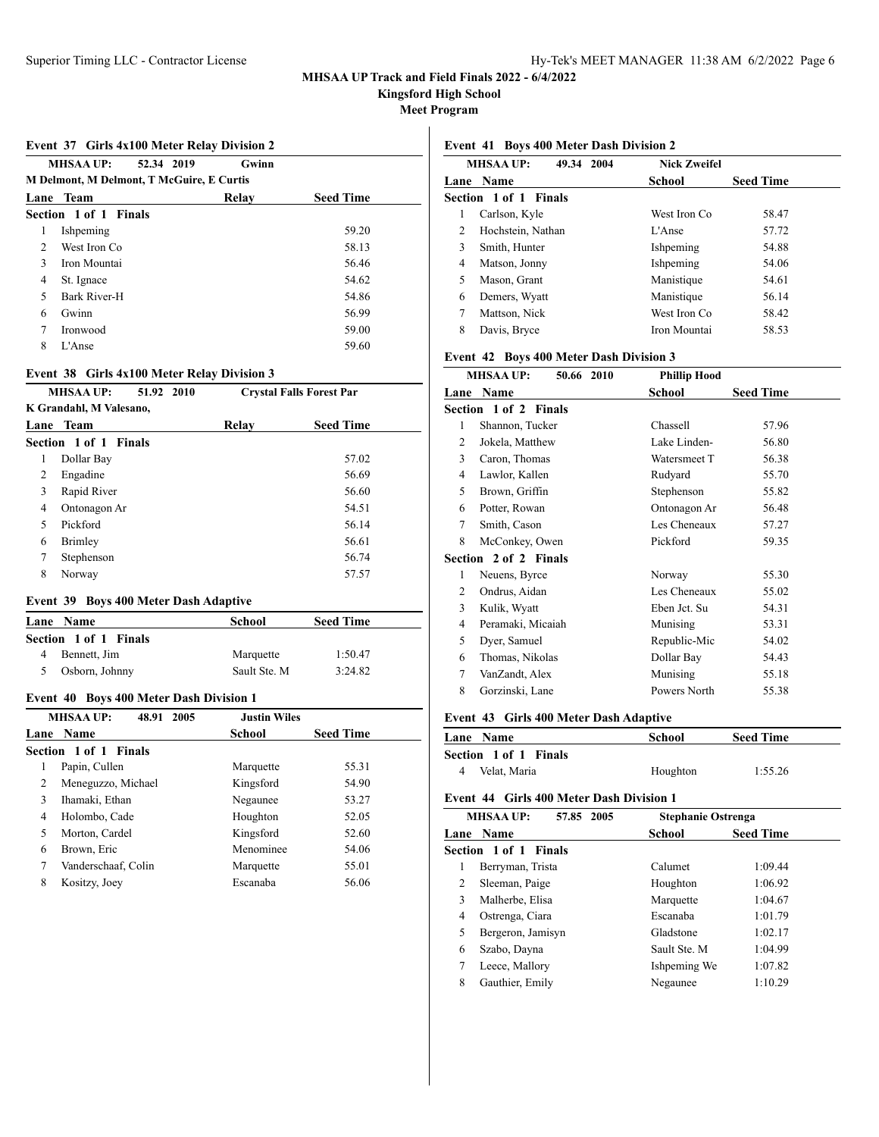**Kingsford High School**

**Meet Program**

### **Event 37 Girls 4x100 Meter Relay Division 2**

|                | <b>MHSAA UP:</b><br>Gwinn<br>52.34 2019<br><b>M Delmont, M Delmont, T McGuire, E Curtis</b> |       |                  |  |  |
|----------------|---------------------------------------------------------------------------------------------|-------|------------------|--|--|
| Lane           | Team                                                                                        | Relav | <b>Seed Time</b> |  |  |
|                | Section 1 of 1 Finals                                                                       |       |                  |  |  |
| 1              | Ishpeming                                                                                   |       | 59.20            |  |  |
| $\mathfrak{D}$ | West Iron Co.                                                                               |       | 58.13            |  |  |
| 3              | Iron Mountai                                                                                |       | 56.46            |  |  |
| 4              | St. Ignace                                                                                  |       | 54.62            |  |  |
| 5              | Bark River-H                                                                                |       | 54.86            |  |  |
| 6              | Gwinn                                                                                       |       | 56.99            |  |  |
| 7              | Ironwood                                                                                    |       | 59.00            |  |  |
| 8              | L'Anse                                                                                      |       | 59.60            |  |  |

### **Event 38 Girls 4x100 Meter Relay Division 3**

| <b>MHSAA UP:</b><br>51.92 2010<br>K Grandahl, M Valesano, |                       | <b>Crystal Falls Forest Par</b> |                  |
|-----------------------------------------------------------|-----------------------|---------------------------------|------------------|
|                                                           |                       |                                 |                  |
|                                                           | Lane Team             | Relay                           | <b>Seed Time</b> |
|                                                           | Section 1 of 1 Finals |                                 |                  |
| 1                                                         | Dollar Bay            |                                 | 57.02            |
| 2                                                         | Engadine              |                                 | 56.69            |
| 3                                                         | Rapid River           |                                 | 56.60            |
| 4                                                         | Ontonagon Ar          |                                 | 54.51            |
| 5                                                         | Pickford              |                                 | 56.14            |
| 6                                                         | Brimley               |                                 | 56.61            |
| 7                                                         | Stephenson            |                                 | 56.74            |
| 8                                                         | Norway                |                                 | 57.57            |

## **Event 39 Boys 400 Meter Dash Adaptive**

| Lane Name             | School       | <b>Seed Time</b> |  |
|-----------------------|--------------|------------------|--|
| Section 1 of 1 Finals |              |                  |  |
| Bennett, Jim          | Marquette    | 1:50.47          |  |
| Osborn, Johnny        | Sault Ste. M | 3:24.82          |  |

### **Event 40 Boys 400 Meter Dash Division 1**

| <b>MHSAA UP:</b><br>48.91<br>2005 |                       | <b>Justin Wiles</b> |                  |
|-----------------------------------|-----------------------|---------------------|------------------|
|                                   | Lane Name             | <b>School</b>       | <b>Seed Time</b> |
|                                   | Section 1 of 1 Finals |                     |                  |
| 1                                 | Papin, Cullen         | Marquette           | 55.31            |
| 2                                 | Meneguzzo, Michael    | Kingsford           | 54.90            |
| 3                                 | Ihamaki, Ethan        | Negaunee            | 53.27            |
| 4                                 | Holombo, Cade         | Houghton            | 52.05            |
| 5                                 | Morton, Cardel        | Kingsford           | 52.60            |
| 6                                 | Brown, Eric           | Menominee           | 54.06            |
| 7                                 | Vanderschaaf. Colin   | Marquette           | 55.01            |
| 8                                 | Kositzy, Joey         | Escanaba            | 56.06            |

### **Event 41 Boys 400 Meter Dash Division 2**

|           | <b>MHSAA UP:</b><br>49.34 2004 | <b>Nick Zweifel</b> |                  |
|-----------|--------------------------------|---------------------|------------------|
| Lane Name |                                | School              | <b>Seed Time</b> |
|           | Section 1 of 1 Finals          |                     |                  |
| 1         | Carlson, Kyle                  | West Iron Co        | 58.47            |
| 2         | Hochstein, Nathan              | $L'$ Anse           | 57.72            |
| 3         | Smith, Hunter                  | Ishpeming           | 54.88            |
| 4         | Matson, Jonny                  | Ishpeming           | 54.06            |
| 5         | Mason, Grant                   | Manistique          | 54.61            |
| 6         | Demers, Wyatt                  | Manistique          | 56.14            |
| 7         | Mattson, Nick                  | West Iron Co        | 58.42            |
| 8         | Davis, Bryce                   | Iron Mountai        | 58.53            |
|           |                                |                     |                  |

## **Event 42 Boys 400 Meter Dash Division 3**

| <b>MHSAA UP:</b><br>50.66 2010 | <b>Phillip Hood</b> |                  |
|--------------------------------|---------------------|------------------|
| Lane Name                      | School              | <b>Seed Time</b> |
| Section 1 of 2 Finals          |                     |                  |
| Shannon, Tucker                | Chassell            | 57.96            |
| Jokela, Matthew                | Lake Linden-        | 56.80            |
| Caron, Thomas                  | Watersmeet T        | 56.38            |
| Lawlor, Kallen                 | Rudyard             | 55.70            |
| Brown, Griffin                 | Stephenson          | 55.82            |
| Potter, Rowan                  | Ontonagon Ar        | 56.48            |
| Smith, Cason                   | Les Cheneaux        | 57.27            |
| McConkey, Owen                 | Pickford            | 59.35            |
| Section 2 of 2 Finals          |                     |                  |
| Neuens, Byrce                  | Norway              | 55.30            |
| Ondrus, Aidan                  | Les Cheneaux        | 55.02            |
| Kulik, Wyatt                   | Eben Jct. Su        | 54.31            |
| Peramaki, Micaiah              | Munising            | 53.31            |
| Dyer, Samuel                   | Republic-Mic        | 54.02            |
| Thomas, Nikolas                | Dollar Bay          | 54.43            |
| VanZandt, Alex                 | Munising            | 55.18            |
| Gorzinski, Lane                | Powers North        | 55.38            |
|                                |                     |                  |

### **Event 43 Girls 400 Meter Dash Adaptive**

| <b>Lane Name</b>             | School   | <b>Seed Time</b> |  |
|------------------------------|----------|------------------|--|
| <b>Section 1 of 1 Finals</b> |          |                  |  |
| Velat. Maria<br>4            | Houghton | 1:55.26          |  |

# **Event 44 Girls 400 Meter Dash Division 1**

| <b>MHSAA UP:</b><br>57.85 2005 |                       | <b>Stephanie Ostrenga</b> |                  |
|--------------------------------|-----------------------|---------------------------|------------------|
|                                | Lane Name             | School                    | <b>Seed Time</b> |
|                                | Section 1 of 1 Finals |                           |                  |
| ı                              | Berryman, Trista      | Calumet                   | 1:09.44          |
| 2                              | Sleeman, Paige        | Houghton                  | 1:06.92          |
| 3                              | Malherbe, Elisa       | Marquette                 | 1:04.67          |
| 4                              | Ostrenga, Ciara       | Escanaba                  | 1:01.79          |
| 5                              | Bergeron, Jamisyn     | Gladstone                 | 1:02.17          |
| 6                              | Szabo, Dayna          | Sault Ste. M              | 1:04.99          |
| 7                              | Leece, Mallory        | Ishpeming We              | 1:07.82          |
| 8                              | Gauthier, Emily       | Negaunee                  | 1:10.29          |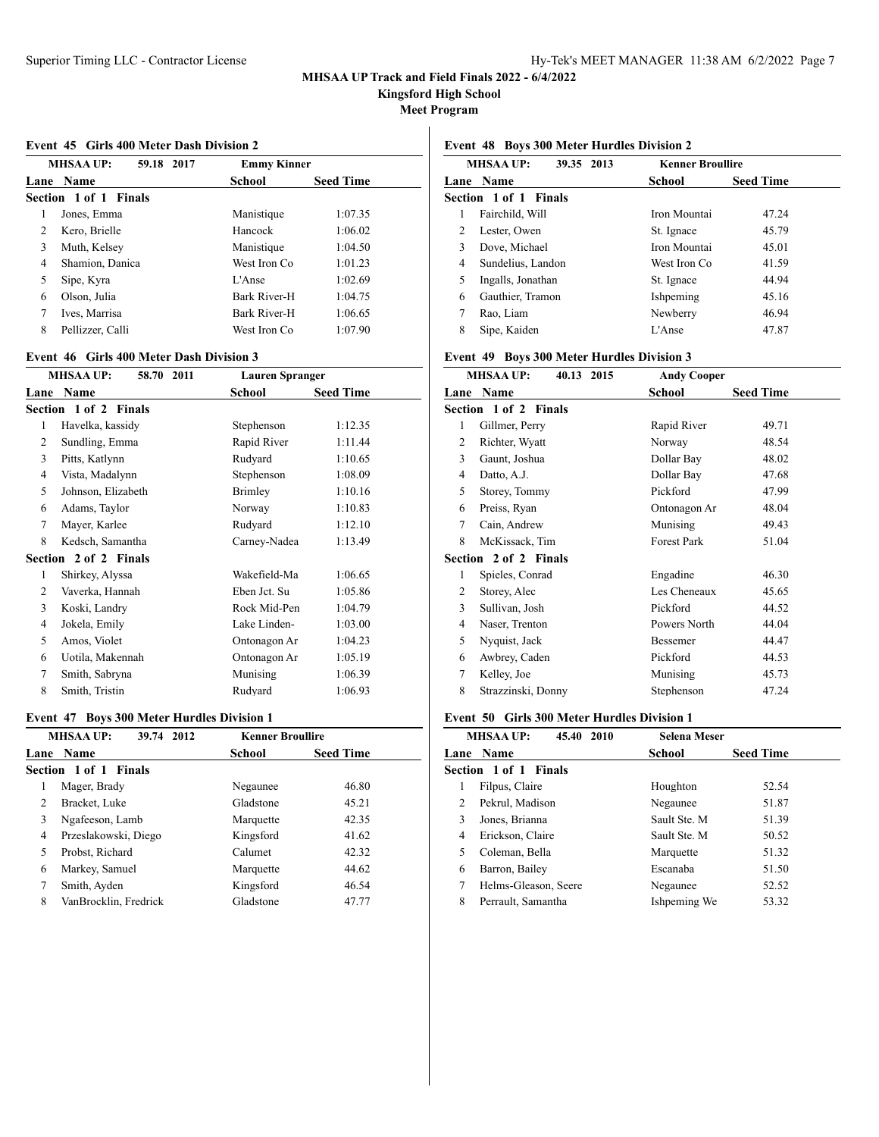**Kingsford High School**

**Meet Program**

#### **Event 45 Girls 400 Meter Dash Division 2**

| <b>MHSAA UP:</b><br>59.18 2017 |                       | <b>Emmy Kinner</b> |                  |
|--------------------------------|-----------------------|--------------------|------------------|
|                                | Lane Name             | <b>School</b>      | <b>Seed Time</b> |
|                                | Section 1 of 1 Finals |                    |                  |
| 1                              | Jones, Emma           | Manistique         | 1:07.35          |
| 2                              | Kero, Brielle         | Hancock            | 1:06.02          |
| 3                              | Muth, Kelsey          | Manistique         | 1:04.50          |
| 4                              | Shamion, Danica       | West Iron Co.      | 1:01.23          |
| 5                              | Sipe, Kyra            | L'Anse             | 1:02.69          |
| 6                              | Olson, Julia          | Bark River-H       | 1:04.75          |
| 7                              | Ives, Marrisa         | Bark River-H       | 1:06.65          |
| 8                              | Pellizzer, Calli      | West Iron Co       | 1:07.90          |

### **Event 46 Girls 400 Meter Dash Division 3**

|                | 58.70 2011<br><b>MHSAA UP:</b> | <b>Lauren Spranger</b> |                  |
|----------------|--------------------------------|------------------------|------------------|
| Lane           | Name                           | School                 | <b>Seed Time</b> |
|                | Section 1 of 2 Finals          |                        |                  |
| 1              | Havelka, kassidy               | Stephenson             | 1:12.35          |
| 2              | Sundling, Emma                 | Rapid River            | 1:11.44          |
| 3              | Pitts, Katlynn                 | Rudyard                | 1:10.65          |
| 4              | Vista, Madalynn                | Stephenson             | 1:08.09          |
| 5              | Johnson, Elizabeth             | Brimley                | 1:10.16          |
| 6              | Adams, Taylor                  | Norway                 | 1:10.83          |
| 7              | Mayer, Karlee                  | Rudyard                | 1:12.10          |
| 8              | Kedsch, Samantha               | Carney-Nadea           | 1:13.49          |
|                | Section 2 of 2 Finals          |                        |                  |
| 1              | Shirkey, Alyssa                | Wakefield-Ma           | 1:06.65          |
| $\overline{c}$ | Vaverka, Hannah                | Eben Jct. Su           | 1:05.86          |
| 3              | Koski, Landry                  | Rock Mid-Pen           | 1:04.79          |
| 4              | Jokela, Emily                  | Lake Linden-           | 1:03.00          |
| 5              | Amos, Violet                   | Ontonagon Ar           | 1:04.23          |
| 6              | Uotila, Makennah               | Ontonagon Ar           | 1:05.19          |
| 7              | Smith, Sabryna                 | Munising               | 1:06.39          |
| 8              | Smith, Tristin                 | Rudyard                | 1:06.93          |
|                |                                |                        |                  |

### **Event 47 Boys 300 Meter Hurdles Division 1**

| <b>MHSAA UP:</b><br>39.74 2012 |                       | <b>Kenner Broullire</b> |                  |
|--------------------------------|-----------------------|-------------------------|------------------|
|                                | Lane Name             | <b>School</b>           | <b>Seed Time</b> |
|                                | Section 1 of 1 Finals |                         |                  |
| 1                              | Mager, Brady          | Negaunee                | 46.80            |
| 2                              | Bracket, Luke         | Gladstone               | 45.21            |
| 3                              | Ngafeeson, Lamb       | Marquette               | 42.35            |
| 4                              | Przeslakowski, Diego  | Kingsford               | 41.62            |
| 5                              | Probst, Richard       | Calumet                 | 42.32            |
| 6                              | Markey, Samuel        | Marquette               | 44.62            |
| 7                              | Smith, Ayden          | Kingsford               | 46.54            |
| 8                              | VanBrocklin, Fredrick | Gladstone               | 47.77            |

# **Event 48 Boys 300 Meter Hurdles Division 2**

| <b>MHSAA UP:</b><br>39.35 2013 |                       | <b>Kenner Broullire</b> |                  |
|--------------------------------|-----------------------|-------------------------|------------------|
|                                | Lane Name             | School                  | <b>Seed Time</b> |
|                                | Section 1 of 1 Finals |                         |                  |
| 1                              | Fairchild, Will       | Iron Mountai            | 47.24            |
| 2                              | Lester, Owen          | St. Ignace              | 45.79            |
| 3                              | Dove, Michael         | Iron Mountai            | 45.01            |
| 4                              | Sundelius, Landon     | West Iron Co            | 41.59            |
| 5                              | Ingalls, Jonathan     | St. Ignace              | 44.94            |
| 6                              | Gauthier, Tramon      | Ishpeming               | 45.16            |
| 7                              | Rao, Liam             | Newberry                | 46.94            |
| 8                              | Sipe, Kaiden          | L'Anse                  | 47.87            |

## **Event 49 Boys 300 Meter Hurdles Division 3**

|      | <b>MHSAA UP:</b><br>40.13<br>2015 | <b>Andy Cooper</b> |                  |
|------|-----------------------------------|--------------------|------------------|
| Lane | Name                              | School             | <b>Seed Time</b> |
|      | Section 1 of 2 Finals             |                    |                  |
| 1    | Gillmer, Perry                    | Rapid River        | 49.71            |
| 2    | Richter, Wyatt                    | Norway             | 48.54            |
| 3    | Gaunt, Joshua                     | Dollar Bay         | 48.02            |
| 4    | Datto, A.J.                       | Dollar Bay         | 47.68            |
| 5    | Storey, Tommy                     | Pickford           | 47.99            |
| 6    | Preiss, Ryan                      | Ontonagon Ar       | 48.04            |
| 7    | Cain, Andrew                      | Munising           | 49.43            |
| 8    | McKissack, Tim                    | <b>Forest Park</b> | 51.04            |
|      | Section 2 of 2 Finals             |                    |                  |
| 1    | Spieles, Conrad                   | Engadine           | 46.30            |
| 2    | Storey, Alec                      | Les Cheneaux       | 45.65            |
| 3    | Sullivan, Josh                    | Pickford           | 44.52            |
| 4    | Naser, Trenton                    | Powers North       | 44.04            |
| 5    | Nyquist, Jack                     | Bessemer           | 44.47            |
| 6    | Awbrey, Caden                     | Pickford           | 44.53            |
| 7    | Kelley, Joe                       | Munising           | 45.73            |
| 8    | Strazzinski, Donny                | Stephenson         | 47.24            |
|      |                                   |                    |                  |

### **Event 50 Girls 300 Meter Hurdles Division 1**

| <b>MHSAA UP:</b><br>45.40 2010 | <b>Selena Meser</b> |                  |  |
|--------------------------------|---------------------|------------------|--|
| <b>Lane Name</b>               | School              | <b>Seed Time</b> |  |
| Section 1 of 1 Finals          |                     |                  |  |
| Filpus, Claire<br>1            | Houghton            | 52.54            |  |
| Pekrul, Madison<br>2           | Negaunee            | 51.87            |  |
| Jones, Brianna<br>3            | Sault Ste. M        | 51.39            |  |
| Erickson, Claire<br>4          | Sault Ste. M        | 50.52            |  |
| 5<br>Coleman, Bella            | Marquette           | 51.32            |  |
| Barron, Bailey<br>6            | Escanaba            | 51.50            |  |
| 7<br>Helms-Gleason, Seere      | Negaunee            | 52.52            |  |
| 8<br>Perrault, Samantha        | Ishpeming We        | 53.32            |  |
|                                |                     |                  |  |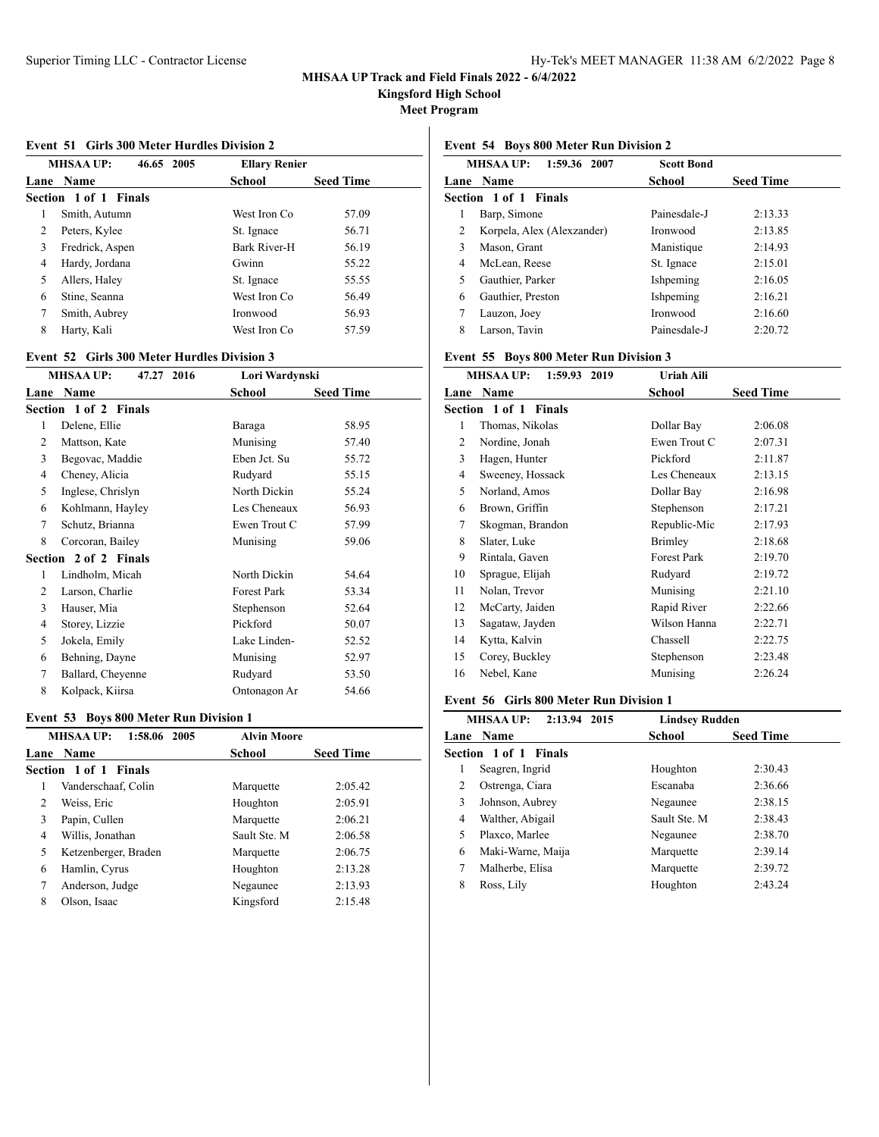**Kingsford High School**

**Meet Program**

#### **Event 51 Girls 300 Meter Hurdles Division 2**

| <b>MHSAA UP:</b><br>46.65 2005 |                       | <b>Ellary Renier</b> |                  |
|--------------------------------|-----------------------|----------------------|------------------|
|                                | Lane Name             | <b>School</b>        | <b>Seed Time</b> |
|                                | Section 1 of 1 Finals |                      |                  |
| 1                              | Smith, Autumn         | West Iron Co         | 57.09            |
| 2                              | Peters, Kylee         | St. Ignace           | 56.71            |
| 3                              | Fredrick, Aspen       | Bark River-H         | 56.19            |
| 4                              | Hardy, Jordana        | Gwinn                | 55.22            |
| 5                              | Allers, Haley         | St. Ignace           | 55.55            |
| 6                              | Stine, Seanna         | West Iron Co         | 56.49            |
| 7                              | Smith, Aubrey         | Ironwood             | 56.93            |
| 8                              | Harty, Kali           | West Iron Co         | 57.59            |

### **Event 52 Girls 300 Meter Hurdles Division 3**

| <b>MHSAA UP:</b><br>47.27 2016 |                       | Lori Wardynski |                  |
|--------------------------------|-----------------------|----------------|------------------|
| Lane                           | <b>Name</b>           | School         | <b>Seed Time</b> |
|                                | Section 1 of 2 Finals |                |                  |
| 1                              | Delene, Ellie         | Baraga         | 58.95            |
| 2                              | Mattson, Kate         | Munising       | 57.40            |
| 3                              | Begovac, Maddie       | Eben Jct. Su   | 55.72            |
| 4                              | Cheney, Alicia        | Rudyard        | 55.15            |
| 5                              | Inglese, Chrislyn     | North Dickin   | 55.24            |
| 6                              | Kohlmann, Hayley      | Les Cheneaux   | 56.93            |
| 7                              | Schutz, Brianna       | Ewen Trout C   | 57.99            |
| 8                              | Corcoran, Bailey      | Munising       | 59.06            |
|                                | Section 2 of 2 Finals |                |                  |
| 1                              | Lindholm, Micah       | North Dickin   | 54.64            |
| 2                              | Larson, Charlie       | Forest Park    | 53.34            |
| 3                              | Hauser, Mia           | Stephenson     | 52.64            |
| 4                              | Storey, Lizzie        | Pickford       | 50.07            |
| 5                              | Jokela, Emily         | Lake Linden-   | 52.52            |
| 6                              | Behning, Dayne        | Munising       | 52.97            |
| 7                              | Ballard, Cheyenne     | Rudyard        | 53.50            |
| 8                              | Kolpack, Kiirsa       | Ontonagon Ar   | 54.66            |
|                                |                       |                |                  |

## **Event 53 Boys 800 Meter Run Division 1**

| <b>MHSAA UP:</b><br>1:58.06 2005 |                       | <b>Alvin Moore</b> |                  |  |  |
|----------------------------------|-----------------------|--------------------|------------------|--|--|
|                                  | Lane Name             | <b>School</b>      | <b>Seed Time</b> |  |  |
|                                  | Section 1 of 1 Finals |                    |                  |  |  |
| 1                                | Vanderschaaf. Colin   | Marquette          | 2:05.42          |  |  |
| 2                                | Weiss, Eric           | Houghton           | 2:05.91          |  |  |
| 3                                | Papin, Cullen         | Marquette          | 2:06.21          |  |  |
| 4                                | Willis, Jonathan      | Sault Ste. M       | 2:06.58          |  |  |
| 5                                | Ketzenberger, Braden  | Marquette          | 2:06.75          |  |  |
| 6                                | Hamlin, Cyrus         | Houghton           | 2:13.28          |  |  |
| 7                                | Anderson, Judge       | Negaunee           | 2:13.93          |  |  |
| 8                                | Olson, Isaac          | Kingsford          | 2:15.48          |  |  |

## **Event 54 Boys 800 Meter Run Division 2**

|   | 1:59.36 2007<br><b>MHSAA UP:</b> | <b>Scott Bond</b> |                  |
|---|----------------------------------|-------------------|------------------|
|   | Lane Name                        | School            | <b>Seed Time</b> |
|   | Section 1 of 1 Finals            |                   |                  |
| 1 | Barp, Simone                     | Painesdale-J      | 2:13.33          |
| 2 | Korpela, Alex (Alexzander)       | Ironwood          | 2:13.85          |
| 3 | Mason, Grant                     | Manistique        | 2:14.93          |
| 4 | McLean, Reese                    | St. Ignace        | 2:15.01          |
| 5 | Gauthier, Parker                 | Ishpeming         | 2:16.05          |
| 6 | Gauthier, Preston                | Ishpeming         | 2:16.21          |
| 7 | Lauzon, Joey                     | Ironwood          | 2:16.60          |
| 8 | Larson, Tavin                    | Painesdale-J      | 2:20.72          |

### **Event 55 Boys 800 Meter Run Division 3**

|      | 1:59.93 2019<br><b>MHSAA UP:</b> | Uriah Aili         |                  |
|------|----------------------------------|--------------------|------------------|
| Lane | Name                             | School             | <b>Seed Time</b> |
|      | Section 1 of 1 Finals            |                    |                  |
| 1    | Thomas, Nikolas                  | Dollar Bay         | 2:06.08          |
| 2    | Nordine, Jonah                   | Ewen Trout C       | 2:07.31          |
| 3    | Hagen, Hunter                    | Pickford           | 2:11.87          |
| 4    | Sweeney, Hossack                 | Les Cheneaux       | 2:13.15          |
| 5    | Norland, Amos                    | Dollar Bay         | 2:16.98          |
| 6    | Brown, Griffin                   | Stephenson         | 2:17.21          |
| 7    | Skogman, Brandon                 | Republic-Mic       | 2:17.93          |
| 8    | Slater, Luke                     | Brimley            | 2:18.68          |
| 9    | Rintala, Gaven                   | <b>Forest Park</b> | 2:19.70          |
| 10   | Sprague, Elijah                  | Rudyard            | 2:19.72          |
| 11   | Nolan, Trevor                    | Munising           | 2:21.10          |
| 12   | McCarty, Jaiden                  | Rapid River        | 2:22.66          |
| 13   | Sagataw, Jayden                  | Wilson Hanna       | 2:22.71          |
| 14   | Kytta, Kalvin                    | Chassell           | 2:22.75          |
| 15   | Corey, Buckley                   | Stephenson         | 2:23.48          |
| 16   | Nebel, Kane                      | Munising           | 2:26.24          |

### **Event 56 Girls 800 Meter Run Division 1**

| 2:13.94 2015<br><b>MHSAA UP:</b> |                       | <b>Lindsey Rudden</b> |                  |
|----------------------------------|-----------------------|-----------------------|------------------|
|                                  | Lane Name             | School                | <b>Seed Time</b> |
|                                  | Section 1 of 1 Finals |                       |                  |
| 1                                | Seagren, Ingrid       | Houghton              | 2:30.43          |
| 2                                | Ostrenga, Ciara       | Escanaba              | 2:36.66          |
| 3                                | Johnson, Aubrey       | Negaunee              | 2:38.15          |
| 4                                | Walther, Abigail      | Sault Ste. M          | 2:38.43          |
| 5                                | Plaxco, Marlee        | Negaunee              | 2:38.70          |
| 6                                | Maki-Warne, Maija     | Marquette             | 2:39.14          |
| 7                                | Malherbe, Elisa       | Marquette             | 2:39.72          |
| 8                                | Ross, Lily            | Houghton              | 2:43.24          |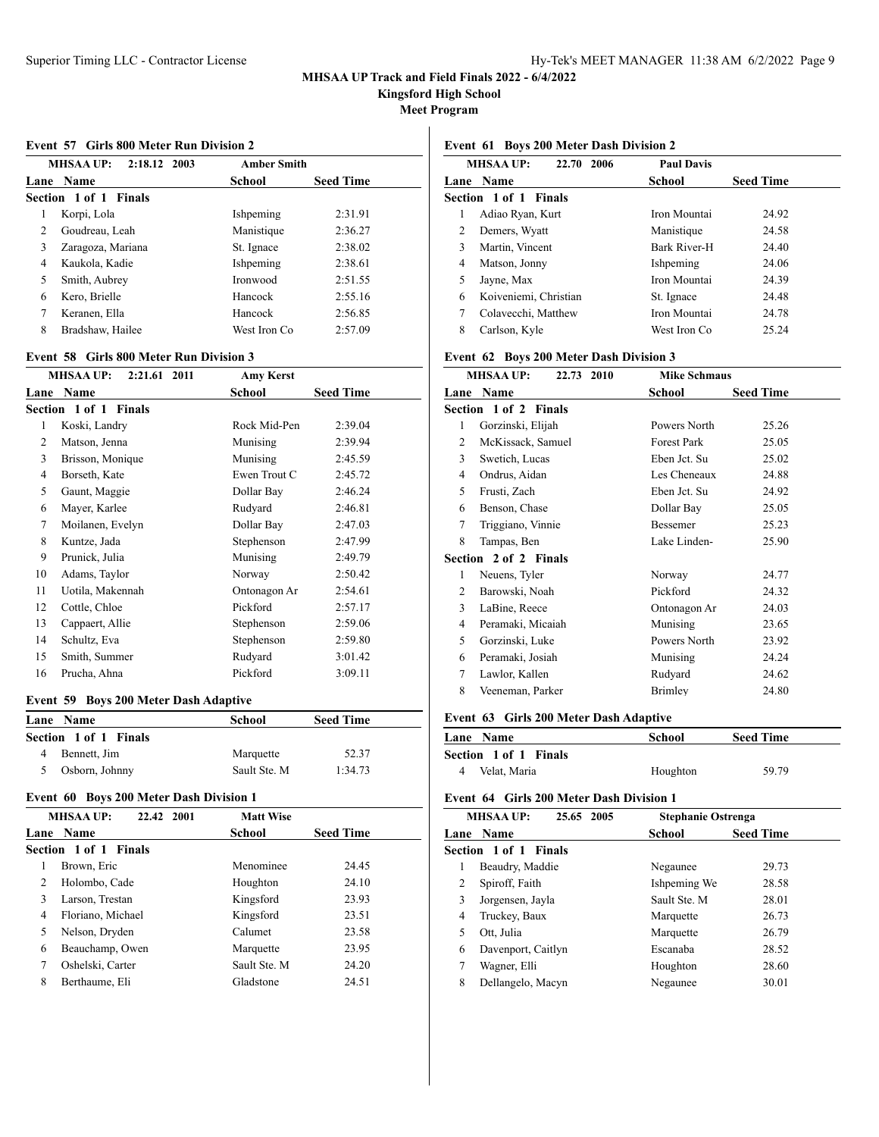**Kingsford High School**

**Meet Program**

#### **Event 57 Girls 800 Meter Run Division 2**

| MHSAA UP:<br>2:18.12 2003 |                       | <b>Amber Smith</b> |                  |
|---------------------------|-----------------------|--------------------|------------------|
|                           | Lane Name             | School             | <b>Seed Time</b> |
|                           | Section 1 of 1 Finals |                    |                  |
| 1                         | Korpi, Lola           | Ishpeming          | 2:31.91          |
| $\overline{c}$            | Goudreau, Leah        | Manistique         | 2:36.27          |
| 3                         | Zaragoza, Mariana     | St. Ignace         | 2:38.02          |
| 4                         | Kaukola, Kadie        | Ishpeming          | 2:38.61          |
| 5                         | Smith, Aubrey         | <b>Ironwood</b>    | 2:51.55          |
| 6                         | Kero, Brielle         | Hancock            | 2:55.16          |
| 7                         | Keranen, Ella         | Hancock            | 2:56.85          |
| 8                         | Bradshaw, Hailee      | West Iron Co       | 2:57.09          |

### **Event 58 Girls 800 Meter Run Division 3**

|                | <b>MHSAA UP:</b><br>2:21.61 2011 | <b>Amy Kerst</b> |                  |
|----------------|----------------------------------|------------------|------------------|
|                | Lane Name                        | School           | <b>Seed Time</b> |
|                | Section 1 of 1 Finals            |                  |                  |
| 1              | Koski, Landry                    | Rock Mid-Pen     | 2:39.04          |
| $\overline{c}$ | Matson, Jenna                    | Munising         | 2:39.94          |
| 3              | Brisson, Monique                 | Munising         | 2:45.59          |
| 4              | Borseth, Kate                    | Ewen Trout C     | 2:45.72          |
| 5              | Gaunt, Maggie                    | Dollar Bay       | 2:46.24          |
| 6              | Mayer, Karlee                    | Rudyard          | 2:46.81          |
| 7              | Moilanen, Evelyn                 | Dollar Bay       | 2:47.03          |
| 8              | Kuntze, Jada                     | Stephenson       | 2:47.99          |
| 9              | Prunick, Julia                   | Munising         | 2:49.79          |
| 10             | Adams, Taylor                    | Norway           | 2:50.42          |
| 11             | Uotila, Makennah                 | Ontonagon Ar     | 2:54.61          |
| 12             | Cottle, Chloe                    | Pickford         | 2:57.17          |
| 13             | Cappaert, Allie                  | Stephenson       | 2:59.06          |
| 14             | Schultz, Eva                     | Stephenson       | 2:59.80          |
| 15             | Smith, Summer                    | Rudyard          | 3:01.42          |
| 16             | Prucha, Ahna                     | Pickford         | 3:09.11          |
|                |                                  |                  |                  |

### **Event 59 Boys 200 Meter Dash Adaptive**

| <b>Lane Name</b>      | School       | <b>Seed Time</b> |  |
|-----------------------|--------------|------------------|--|
| Section 1 of 1 Finals |              |                  |  |
| Bennett, Jim          | Marquette    | 52.37            |  |
| Osborn, Johnny        | Sault Ste. M | 1:34.73          |  |

## **Event 60 Boys 200 Meter Dash Division 1**

| <b>MHSAA UP:</b><br>22.42 2001  | <b>Matt Wise</b>                  |  |
|---------------------------------|-----------------------------------|--|
| <b>Lane Name</b>                | <b>School</b><br><b>Seed Time</b> |  |
| <b>Section 1 of 1 Finals</b>    |                                   |  |
| Brown, Eric                     | Menominee<br>24.45                |  |
| Holombo, Cade<br>$\mathfrak{D}$ | 24.10<br>Houghton                 |  |
| 3<br>Larson, Trestan            | 23.93<br>Kingsford                |  |
| Floriano, Michael<br>4          | 23.51<br>Kingsford                |  |
| Nelson, Dryden<br>5             | Calumet<br>23.58                  |  |
| 6<br>Beauchamp, Owen            | 23.95<br>Marquette                |  |
| 7<br>Oshelski, Carter           | Sault Ste. M<br>24.20             |  |
| 8<br>Berthaume, Eli             | Gladstone<br>24.51                |  |
|                                 |                                   |  |

### **Event 61 Boys 200 Meter Dash Division 2**

| <b>MHSAA UP:</b><br>22.70 2006 | <b>Paul Davis</b> |                  |
|--------------------------------|-------------------|------------------|
| Lane Name                      | School            | <b>Seed Time</b> |
| Section 1 of 1 Finals          |                   |                  |
| 1<br>Adiao Ryan, Kurt          | Iron Mountai      | 24.92            |
| 2<br>Demers, Wyatt             | Manistique        | 24.58            |
| 3<br>Martin, Vincent           | Bark River-H      | 24.40            |
| 4<br>Matson, Jonny             | Ishpeming         | 24.06            |
| 5<br>Jayne, Max                | Iron Mountai      | 24.39            |
| Koiveniemi, Christian<br>6     | St. Ignace        | 24.48            |
| 7<br>Colavecchi, Matthew       | Iron Mountai      | 24.78            |
| 8<br>Carlson, Kyle             | West Iron Co      | 25.24            |
|                                |                   |                  |

## **Event 62 Boys 200 Meter Dash Division 3**

| 22.73 2010        | <b>Mike Schmaus</b>                                                             |                  |
|-------------------|---------------------------------------------------------------------------------|------------------|
|                   | School                                                                          | <b>Seed Time</b> |
|                   |                                                                                 |                  |
| Gorzinski, Elijah | Powers North                                                                    | 25.26            |
| McKissack, Samuel | <b>Forest Park</b>                                                              | 25.05            |
| Swetich, Lucas    | Eben Jct. Su                                                                    | 25.02            |
| Ondrus, Aidan     | Les Cheneaux                                                                    | 24.88            |
| Frusti, Zach      | Eben Jct. Su                                                                    | 24.92            |
| Benson, Chase     | Dollar Bay                                                                      | 25.05            |
| Triggiano, Vinnie | <b>Bessemer</b>                                                                 | 25.23            |
| Tampas, Ben       | Lake Linden-                                                                    | 25.90            |
|                   |                                                                                 |                  |
| Neuens, Tyler     | Norway                                                                          | 24.77            |
| Barowski, Noah    | Pickford                                                                        | 24.32            |
| LaBine, Reece     | Ontonagon Ar                                                                    | 24.03            |
| Peramaki, Micaiah | Munising                                                                        | 23.65            |
| Gorzinski, Luke   | Powers North                                                                    | 23.92            |
| Peramaki, Josiah  | Munising                                                                        | 24.24            |
| Lawlor, Kallen    | Rudyard                                                                         | 24.62            |
| Veeneman, Parker  | Brimley                                                                         | 24.80            |
|                   | <b>MHSAA UP:</b><br>Lane Name<br>Section 1 of 2 Finals<br>Section 2 of 2 Finals |                  |

## **Event 63 Girls 200 Meter Dash Adaptive**

| <b>Lane Name</b>             | School   | <b>Seed Time</b> |
|------------------------------|----------|------------------|
| <b>Section 1 of 1 Finals</b> |          |                  |
| Velat, Maria<br>4            | Houghton | 59.79            |

## **Event 64 Girls 200 Meter Dash Division 1**

| <b>MHSAA UP:</b><br>25.65 2005 | <b>Stephanie Ostrenga</b> |                  |
|--------------------------------|---------------------------|------------------|
| Lane Name                      | School                    | <b>Seed Time</b> |
| Section 1 of 1 Finals          |                           |                  |
| Beaudry, Maddie<br>1           | Negaunee                  | 29.73            |
| 2<br>Spiroff, Faith            | Ishpeming We              | 28.58            |
| 3<br>Jorgensen, Jayla          | Sault Ste. M              | 28.01            |
| 4<br>Truckey, Baux             | Marquette                 | 26.73            |
| 5<br>Ott, Julia                | Marquette                 | 26.79            |
| Davenport, Caitlyn<br>6        | Escanaba                  | 28.52            |
| 7<br>Wagner, Elli              | Houghton                  | 28.60            |
| 8<br>Dellangelo, Macyn         | Negaunee                  | 30.01            |
|                                |                           |                  |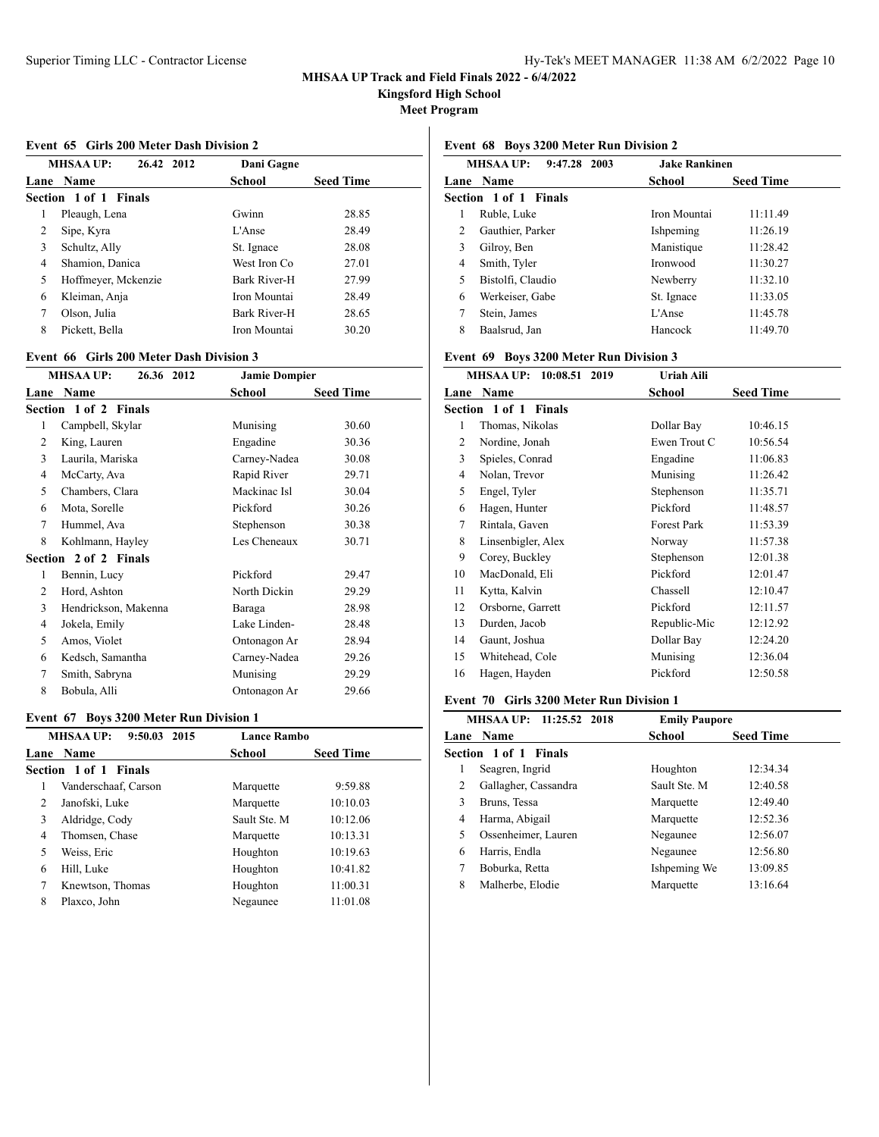**Kingsford High School**

**Meet Program**

#### **Event 65 Girls 200 Meter Dash Division 2**

|   | <b>MHSAA UP:</b><br>26.42 2012 | Dani Gagne    |                  |
|---|--------------------------------|---------------|------------------|
|   | Lane Name                      | <b>School</b> | <b>Seed Time</b> |
|   | Section 1 of 1 Finals          |               |                  |
| 1 | Pleaugh, Lena                  | Gwinn         | 28.85            |
| 2 | Sipe, Kyra                     | L'Anse        | 28.49            |
| 3 | Schultz, Ally                  | St. Ignace    | 28.08            |
| 4 | Shamion, Danica                | West Iron Co. | 27.01            |
| 5 | Hoffmeyer, Mckenzie            | Bark River-H  | 27.99            |
| 6 | Kleiman, Anja                  | Iron Mountai  | 28.49            |
| 7 | Olson, Julia                   | Bark River-H  | 28.65            |
| 8 | Pickett, Bella                 | Iron Mountai  | 30.20            |

### **Event 66 Girls 200 Meter Dash Division 3**

|      | <b>MHSAA UP:</b><br>26.36 2012 | <b>Jamie Dompier</b> |                  |
|------|--------------------------------|----------------------|------------------|
| Lane | <b>Name</b>                    | School               | <b>Seed Time</b> |
|      | Section 1 of 2 Finals          |                      |                  |
| 1    | Campbell, Skylar               | Munising             | 30.60            |
| 2    | King, Lauren                   | Engadine             | 30.36            |
| 3    | Laurila, Mariska               | Carney-Nadea         | 30.08            |
| 4    | McCarty, Ava                   | Rapid River          | 29.71            |
| 5    | Chambers, Clara                | Mackinac Isl         | 30.04            |
| 6    | Mota, Sorelle                  | Pickford             | 30.26            |
| 7    | Hummel, Ava                    | Stephenson           | 30.38            |
| 8    | Kohlmann, Hayley               | Les Cheneaux         | 30.71            |
|      | Section 2 of 2 Finals          |                      |                  |
| 1    | Bennin, Lucy                   | Pickford             | 29.47            |
| 2    | Hord, Ashton                   | North Dickin         | 29.29            |
| 3    | Hendrickson, Makenna           | Baraga               | 28.98            |
| 4    | Jokela, Emily                  | Lake Linden-         | 28.48            |
| 5    | Amos, Violet                   | Ontonagon Ar         | 28.94            |
| 6    | Kedsch, Samantha               | Carney-Nadea         | 29.26            |
| 7    | Smith, Sabryna                 | Munising             | 29.29            |
| 8    | Bobula, Alli                   | Ontonagon Ar         | 29.66            |
|      |                                |                      |                  |

### **Event 67 Boys 3200 Meter Run Division 1**

|   | <b>MHSAA UP:</b><br>9:50.03 2015 | <b>Lance Rambo</b> |                  |  |
|---|----------------------------------|--------------------|------------------|--|
|   | Lane Name                        | School             | <b>Seed Time</b> |  |
|   | Section 1 of 1 Finals            |                    |                  |  |
| 1 | Vanderschaaf, Carson             | Marquette          | 9:59.88          |  |
| 2 | Janofski, Luke                   | Marquette          | 10:10.03         |  |
| 3 | Aldridge, Cody                   | Sault Ste. M       | 10:12.06         |  |
| 4 | Thomsen, Chase                   | Marquette          | 10:13.31         |  |
| 5 | Weiss, Eric                      | Houghton           | 10:19.63         |  |
| 6 | Hill, Luke                       | Houghton           | 10:41.82         |  |
| 7 | Knewtson, Thomas                 | Houghton           | 11:00.31         |  |
| 8 | Plaxco, John                     | Negaunee           | 11:01.08         |  |

### **Event 68 Boys 3200 Meter Run Division 2**

| <b>MHSAA UP:</b><br>9:47.28 2003 |                       | <b>Jake Rankinen</b> |                  |
|----------------------------------|-----------------------|----------------------|------------------|
|                                  | Lane Name             | School               | <b>Seed Time</b> |
|                                  | Section 1 of 1 Finals |                      |                  |
| 1                                | Ruble, Luke           | Iron Mountai         | 11:11.49         |
| 2                                | Gauthier, Parker      | Ishpeming            | 11:26.19         |
| 3                                | Gilroy, Ben           | Manistique           | 11:28.42         |
| 4                                | Smith, Tyler          | Ironwood             | 11:30.27         |
| 5                                | Bistolfi, Claudio     | Newberry             | 11:32.10         |
| 6                                | Werkeiser, Gabe       | St. Ignace           | 11:33.05         |
| 7                                | Stein, James          | $L'$ Anse            | 11:45.78         |
| 8                                | Baalsrud, Jan         | Hancock              | 11:49.70         |

### **Event 69 Boys 3200 Meter Run Division 3**

|      | MHSAA UP: 10:08.51 2019 | Uriah Aili         |                  |
|------|-------------------------|--------------------|------------------|
| Lane | Name                    | School             | <b>Seed Time</b> |
|      | Section 1 of 1 Finals   |                    |                  |
| 1    | Thomas, Nikolas         | Dollar Bay         | 10:46.15         |
| 2    | Nordine, Jonah          | Ewen Trout C       | 10:56.54         |
| 3    | Spieles, Conrad         | Engadine           | 11:06.83         |
| 4    | Nolan, Trevor           | Munising           | 11:26.42         |
| 5    | Engel, Tyler            | Stephenson         | 11:35.71         |
| 6    | Hagen, Hunter           | Pickford           | 11:48.57         |
| 7    | Rintala, Gaven          | <b>Forest Park</b> | 11:53.39         |
| 8    | Linsenbigler, Alex      | Norway             | 11:57.38         |
| 9    | Corey, Buckley          | Stephenson         | 12:01.38         |
| 10   | MacDonald, Eli          | Pickford           | 12:01.47         |
| 11   | Kytta, Kalvin           | Chassell           | 12:10.47         |
| 12   | Orsborne, Garrett       | Pickford           | 12:11.57         |
| 13   | Durden, Jacob           | Republic-Mic       | 12:12.92         |
| 14   | Gaunt, Joshua           | Dollar Bay         | 12:24.20         |
| 15   | Whitehead, Cole         | Munising           | 12:36.04         |
| 16   | Hagen, Hayden           | Pickford           | 12:50.58         |

### **Event 70 Girls 3200 Meter Run Division 1**

|   | MHSAA UP: 11:25.52 2018 | <b>Emily Paupore</b> |                  |  |
|---|-------------------------|----------------------|------------------|--|
|   | <b>Lane Name</b>        | School               | <b>Seed Time</b> |  |
|   | Section 1 of 1 Finals   |                      |                  |  |
| l | Seagren, Ingrid         | Houghton             | 12:34.34         |  |
| 2 | Gallagher, Cassandra    | Sault Ste. M         | 12:40.58         |  |
| 3 | Bruns, Tessa            | Marquette            | 12:49.40         |  |
| 4 | Harma, Abigail          | Marquette            | 12:52.36         |  |
| 5 | Ossenheimer, Lauren     | Negaunee             | 12:56.07         |  |
| 6 | Harris, Endla           | Negaunee             | 12:56.80         |  |
| 7 | Boburka, Retta          | Ishpeming We         | 13:09.85         |  |
| 8 | Malherbe, Elodie        | Marquette            | 13:16.64         |  |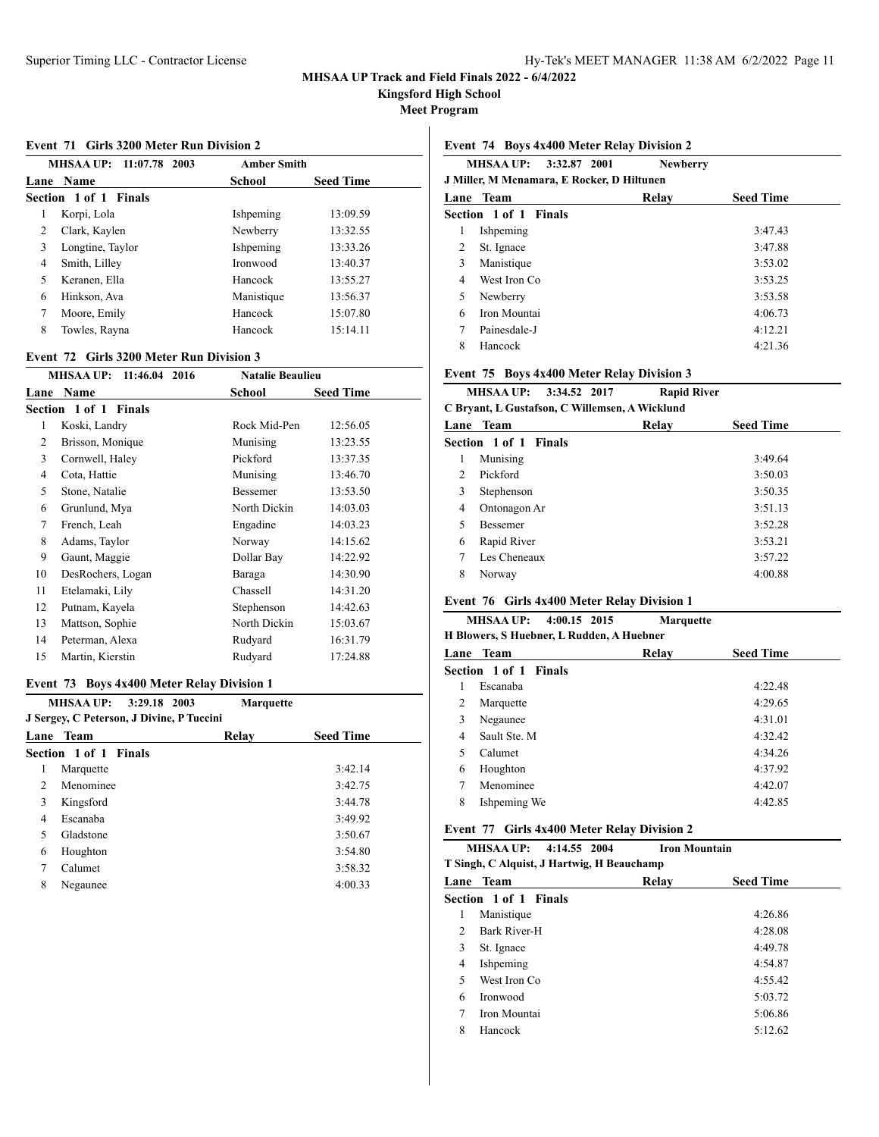**Kingsford High School**

**Meet Program**

#### **Event 71 Girls 3200 Meter Run Division 2**

|      | MHSAA UP: 11:07.78 2003 | <b>Amber Smith</b> |                  |
|------|-------------------------|--------------------|------------------|
| Lane | <b>Name</b>             | School             | <b>Seed Time</b> |
|      | Section 1 of 1 Finals   |                    |                  |
| 1    | Korpi, Lola             | Ishpeming          | 13:09.59         |
| 2    | Clark, Kaylen           | Newberry           | 13:32.55         |
| 3    | Longtine, Taylor        | Ishpeming          | 13:33.26         |
| 4    | Smith, Lilley           | <b>Ironwood</b>    | 13:40.37         |
| 5    | Keranen, Ella           | Hancock            | 13:55.27         |
| 6    | Hinkson, Ava            | Manistique         | 13:56.37         |
| 7    | Moore, Emily            | Hancock            | 15:07.80         |
| 8    | Towles, Rayna           | Hancock            | 15:14.11         |

#### **Event 72 Girls 3200 Meter Run Division 3**

|    | 11:46.04 2016<br>MHSAA UP: | <b>Natalie Beaulieu</b> |                  |
|----|----------------------------|-------------------------|------------------|
|    | Lane Name                  | School                  | <b>Seed Time</b> |
|    | Section 1 of 1 Finals      |                         |                  |
| 1  | Koski, Landry              | Rock Mid-Pen            | 12:56.05         |
| 2  | Brisson, Monique           | Munising                | 13:23.55         |
| 3  | Cornwell, Haley            | Pickford                | 13:37.35         |
| 4  | Cota, Hattie               | Munising                | 13:46.70         |
| 5  | Stone, Natalie             | Bessemer                | 13:53.50         |
| 6  | Grunlund, Mya              | North Dickin            | 14:03.03         |
| 7  | French, Leah               | Engadine                | 14:03.23         |
| 8  | Adams, Taylor              | Norway                  | 14:15.62         |
| 9  | Gaunt, Maggie              | Dollar Bay              | 14:22.92         |
| 10 | DesRochers, Logan          | Baraga                  | 14:30.90         |
| 11 | Etelamaki, Lily            | Chassell                | 14:31.20         |
| 12 | Putnam, Kayela             | Stephenson              | 14:42.63         |
| 13 | Mattson, Sophie            | North Dickin            | 15:03.67         |
| 14 | Peterman, Alexa            | Rudyard                 | 16:31.79         |
| 15 | Martin, Kierstin           | Rudyard                 | 17:24.88         |

### **Event 73 Boys 4x400 Meter Relay Division 1**

| MHSAA UP: 3:29.18 2003<br><b>Marquette</b><br>J Sergey, C Peterson, J Divine, P Tuccini |                       |       |                  |
|-----------------------------------------------------------------------------------------|-----------------------|-------|------------------|
|                                                                                         | Lane Team             | Relav | <b>Seed Time</b> |
|                                                                                         | Section 1 of 1 Finals |       |                  |
| 1                                                                                       | Marquette             |       | 3:42.14          |
| $\mathfrak{D}$                                                                          | Menominee             |       | 3:42.75          |
| 3                                                                                       | Kingsford             |       | 3:44.78          |
| 4                                                                                       | Escanaba              |       | 3:49.92          |
| $\overline{\phantom{0}}$                                                                | Gladstone             |       | 3:50.67          |
| 6                                                                                       | Houghton              |       | 3:54.80          |
| 7                                                                                       | Calumet               |       | 3:58.32          |
| 8                                                                                       | Negaunee              |       | 4:00.33          |

### **Event 74 Boys 4x400 Meter Relay Division 2**

|      | MHSAA UP:<br>3:32.87 2001<br>J Miller, M Mcnamara, E Rocker, D Hiltunen | <b>Newberry</b> |                  |
|------|-------------------------------------------------------------------------|-----------------|------------------|
| Lane | Team                                                                    | Relav           | <b>Seed Time</b> |
|      | Section 1 of 1 Finals                                                   |                 |                  |
| 1    | Ishpeming                                                               |                 | 3:47.43          |
| 2    | St. Ignace                                                              |                 | 3:47.88          |
| 3    | Manistique                                                              |                 | 3:53.02          |
| 4    | West Iron Co                                                            |                 | 3:53.25          |
| 5    | Newberry                                                                |                 | 3:53.58          |
| 6    | Iron Mountai                                                            |                 | 4:06.73          |
| 7    | Painesdale-J                                                            |                 | 4:12.21          |
| 8    | Hancock                                                                 |                 | 4:21.36          |

### **Event 75 Boys 4x400 Meter Relay Division 3**

|                                                | <b>MHSAA UP:</b><br>3:34.52 2017 | <b>Rapid River</b> |                  |  |  |
|------------------------------------------------|----------------------------------|--------------------|------------------|--|--|
| C Bryant, L Gustafson, C Willemsen, A Wicklund |                                  |                    |                  |  |  |
|                                                | Lane Team                        | Relay              | <b>Seed Time</b> |  |  |
|                                                | Section 1 of 1 Finals            |                    |                  |  |  |
| 1                                              | Munising                         |                    | 3:49.64          |  |  |
| $\mathcal{D}_{\mathcal{L}}$                    | Pickford                         |                    | 3:50.03          |  |  |
| 3                                              | Stephenson                       |                    | 3:50.35          |  |  |
| 4                                              | Ontonagon Ar                     |                    | 3:51.13          |  |  |
| 5                                              | <b>Bessemer</b>                  |                    | 3:52.28          |  |  |
| 6                                              | Rapid River                      |                    | 3:53.21          |  |  |
| 7                                              | Les Cheneaux                     |                    | 3:57.22          |  |  |
| 8                                              | Norway                           |                    | 4:00.88          |  |  |
|                                                |                                  |                    |                  |  |  |

## **Event 76 Girls 4x400 Meter Relay Division 1**

### **MHSAA UP: 4:00.15 2015 Marquette H Blowers, S Huebner, L Rudden, A Huebner**

|   | Lane Team                    | Relay | <b>Seed Time</b> |
|---|------------------------------|-------|------------------|
|   | <b>Section 1 of 1 Finals</b> |       |                  |
| 1 | Escanaba                     |       | 4:22.48          |
| 2 | Marquette                    |       | 4:29.65          |
| 3 | Negaunee                     |       | 4:31.01          |
| 4 | Sault Ste. M                 |       | 4:32.42          |
|   | Calumet                      |       | 4:34.26          |
| 6 | Houghton                     |       | 4:37.92          |
|   | Menominee                    |       | 4:42.07          |
| 8 | Ishpeming We                 |       | 4:42.85          |
|   |                              |       |                  |

## **Event 77 Girls 4x400 Meter Relay Division 2**

**MHSAA UP: 4:14.55 2004 Iron Mountain**

**T Singh, C Alquist, J Hartwig, H Beauchamp**

| Lane Team             | Relay | <b>Seed Time</b> |  |  |  |
|-----------------------|-------|------------------|--|--|--|
| Section 1 of 1 Finals |       |                  |  |  |  |
| Manistique            |       | 4:26.86          |  |  |  |
| Bark River-H          |       | 4:28.08          |  |  |  |
| St. Ignace            |       | 4:49.78          |  |  |  |
| Ishpeming             |       | 4:54.87          |  |  |  |
| West Iron Co.         |       | 4:55.42          |  |  |  |
| Ironwood              |       | 5:03.72          |  |  |  |
| Iron Mountai          |       | 5:06.86          |  |  |  |
| Hancock               |       | 5:12.62          |  |  |  |
|                       |       |                  |  |  |  |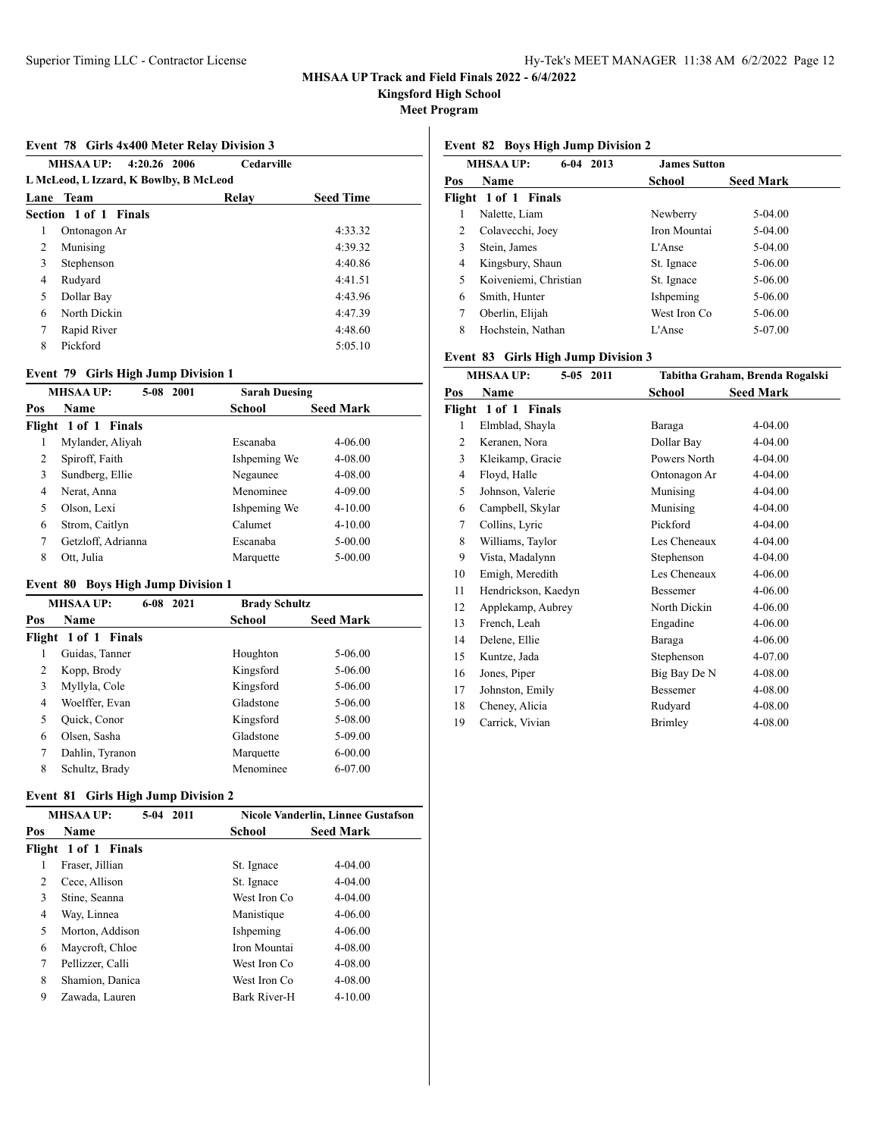**Kingsford High School**

**Meet Program**

### **Event 78 Girls 4x400 Meter Relay Division 3**

|                                        | MHSAA UP: 4:20.26 2006 | Cedarville |                  |  |
|----------------------------------------|------------------------|------------|------------------|--|
| L McLeod, L Izzard, K Bowlby, B McLeod |                        |            |                  |  |
| Lane                                   | Team                   | Relay      | <b>Seed Time</b> |  |
|                                        | Section 1 of 1 Finals  |            |                  |  |
| 1                                      | Ontonagon Ar           |            | 4:33.32          |  |
| 2                                      | Munising               |            | 4:39.32          |  |
| 3                                      | Stephenson             |            | 4:40.86          |  |
| 4                                      | Rudyard                |            | 4:41.51          |  |
| 5                                      | Dollar Bay             |            | 4:43.96          |  |
| 6                                      | North Dickin           |            | 4:47.39          |  |
| 7                                      | Rapid River            |            | 4:48.60          |  |
| 8                                      | Pickford               |            | 5:05.10          |  |

## **Event 79 Girls High Jump Division 1**

|     | <b>MHSAA UP:</b><br>5-08 2001 | <b>Sarah Duesing</b> |                  |
|-----|-------------------------------|----------------------|------------------|
| Pos | Name                          | <b>School</b>        | <b>Seed Mark</b> |
|     | Flight 1 of 1 Finals          |                      |                  |
|     | Mylander, Aliyah              | Escanaba             | $4 - 06.00$      |
| 2   | Spiroff, Faith                | Ishpeming We         | $4 - 08.00$      |
| 3   | Sundberg, Ellie               | Negaunee             | $4 - 08.00$      |
| 4   | Nerat, Anna                   | Menominee            | $4 - 09.00$      |
| 5   | Olson, Lexi                   | Ishpeming We         | $4 - 10.00$      |
| 6   | Strom, Caitlyn                | Calumet              | $4 - 10.00$      |
| 7   | Getzloff, Adrianna            | Escanaba             | $5 - 00.00$      |
| 8   | Ott, Julia                    | Marquette            | $5-00.00$        |

## **Event 80 Boys High Jump Division 1**

| <b>MHSAA UP:</b><br>$6-08$<br>2021 |                      | <b>Brady Schultz</b> |                  |
|------------------------------------|----------------------|----------------------|------------------|
| Pos                                | <b>Name</b>          | <b>School</b>        | <b>Seed Mark</b> |
|                                    | Flight 1 of 1 Finals |                      |                  |
|                                    | Guidas, Tanner       | Houghton             | 5-06.00          |
| 2                                  | Kopp, Brody          | Kingsford            | 5-06.00          |
| 3                                  | Myllyla, Cole        | Kingsford            | $5 - 06.00$      |
| 4                                  | Woelffer, Evan       | Gladstone            | 5-06.00          |
| 5                                  | Quick, Conor         | Kingsford            | 5-08.00          |
| 6                                  | Olsen, Sasha         | Gladstone            | $5-09.00$        |
| 7                                  | Dahlin, Tyranon      | Marquette            | $6 - 00.00$      |
| 8                                  | Schultz, Brady       | Menominee            | 6-07.00          |

### **Event 81 Girls High Jump Division 2**

| <b>MHSAA UP:</b><br>$5-04$ 2011 |                      | <b>Nicole Vanderlin, Linnee Gustafson</b> |                  |
|---------------------------------|----------------------|-------------------------------------------|------------------|
| Pos                             | Name                 | School                                    | <b>Seed Mark</b> |
|                                 | Flight 1 of 1 Finals |                                           |                  |
|                                 | Fraser, Jillian      | St. Ignace                                | $4 - 04.00$      |
| $\mathfrak{D}$                  | Cece, Allison        | St. Ignace                                | $4 - 04.00$      |
| 3                               | Stine, Seanna        | West Iron Co.                             | $4 - 04.00$      |
| 4                               | Way, Linnea          | Manistique                                | $4 - 06.00$      |
| 5                               | Morton, Addison      | Ishpeming                                 | $4 - 06.00$      |
| 6                               | Maycroft, Chloe      | Iron Mountai                              | $4 - 08.00$      |
| 7                               | Pellizzer, Calli     | West Iron Co.                             | $4 - 08.00$      |
| 8                               | Shamion, Danica      | West Iron Co.                             | 4-08.00          |
| 9                               | Zawada, Lauren       | <b>Bark River-H</b>                       | $4 - 10.00$      |
|                                 |                      |                                           |                  |

## **Event 82 Boys High Jump Division 2**

|     | <b>MHSAA UP:</b><br>6-04<br>2013 | <b>James Sutton</b> |                  |  |
|-----|----------------------------------|---------------------|------------------|--|
| Pos | Name                             | School              | <b>Seed Mark</b> |  |
|     | Flight 1 of 1 Finals             |                     |                  |  |
|     | Nalette, Liam                    | Newberry            | $5-04.00$        |  |
| 2   | Colavecchi, Joey                 | Iron Mountai        | $5-04.00$        |  |
| 3   | Stein, James                     | L'Anse              | $5-04.00$        |  |
| 4   | Kingsbury, Shaun                 | St. Ignace          | 5-06.00          |  |
| 5   | Koiveniemi, Christian            | St. Ignace          | 5-06.00          |  |
| 6   | Smith, Hunter                    | Ishpeming           | 5-06.00          |  |
| 7   | Oberlin, Elijah                  | West Iron Co.       | 5-06.00          |  |
| 8   | Hochstein, Nathan                | L'Anse              | 5-07.00          |  |
|     |                                  |                     |                  |  |

# **Event 83 Girls High Jump Division 3**

| <b>MHSAAUP:</b><br>5-05 2011 |                         | Tabitha Graham, Brenda Rogalski |                  |
|------------------------------|-------------------------|---------------------------------|------------------|
| Pos                          | Name                    | School                          | <b>Seed Mark</b> |
|                              | Flight 1 of 1<br>Finals |                                 |                  |
| 1                            | Elmblad, Shayla         | Baraga                          | 4-04.00          |
| 2                            | Keranen, Nora           | Dollar Bay                      | 4-04.00          |
| 3                            | Kleikamp, Gracie        | Powers North                    | 4-04.00          |
| 4                            | Floyd, Halle            | Ontonagon Ar                    | 4-04.00          |
| 5                            | Johnson, Valerie        | Munising                        | 4-04.00          |
| 6                            | Campbell, Skylar        | Munising                        | 4-04.00          |
| 7                            | Collins, Lyric          | Pickford                        | 4-04.00          |
| 8                            | Williams, Taylor        | Les Cheneaux                    | 4-04.00          |
| 9                            | Vista, Madalynn         | Stephenson                      | 4-04.00          |
| 10                           | Emigh, Meredith         | Les Cheneaux                    | 4-06.00          |
| 11                           | Hendrickson, Kaedyn     | <b>Bessemer</b>                 | 4-06.00          |
| 12                           | Applekamp, Aubrey       | North Dickin                    | 4-06.00          |
| 13                           | French, Leah            | Engadine                        | 4-06.00          |
| 14                           | Delene, Ellie           | Baraga                          | 4-06.00          |
| 15                           | Kuntze, Jada            | Stephenson                      | 4-07.00          |
| 16                           | Jones, Piper            | Big Bay De N                    | 4-08.00          |
| 17                           | Johnston, Emily         | <b>Bessemer</b>                 | 4-08.00          |
| 18                           | Cheney, Alicia          | Rudyard                         | 4-08.00          |
| 19                           | Carrick, Vivian         | Brimley                         | 4-08.00          |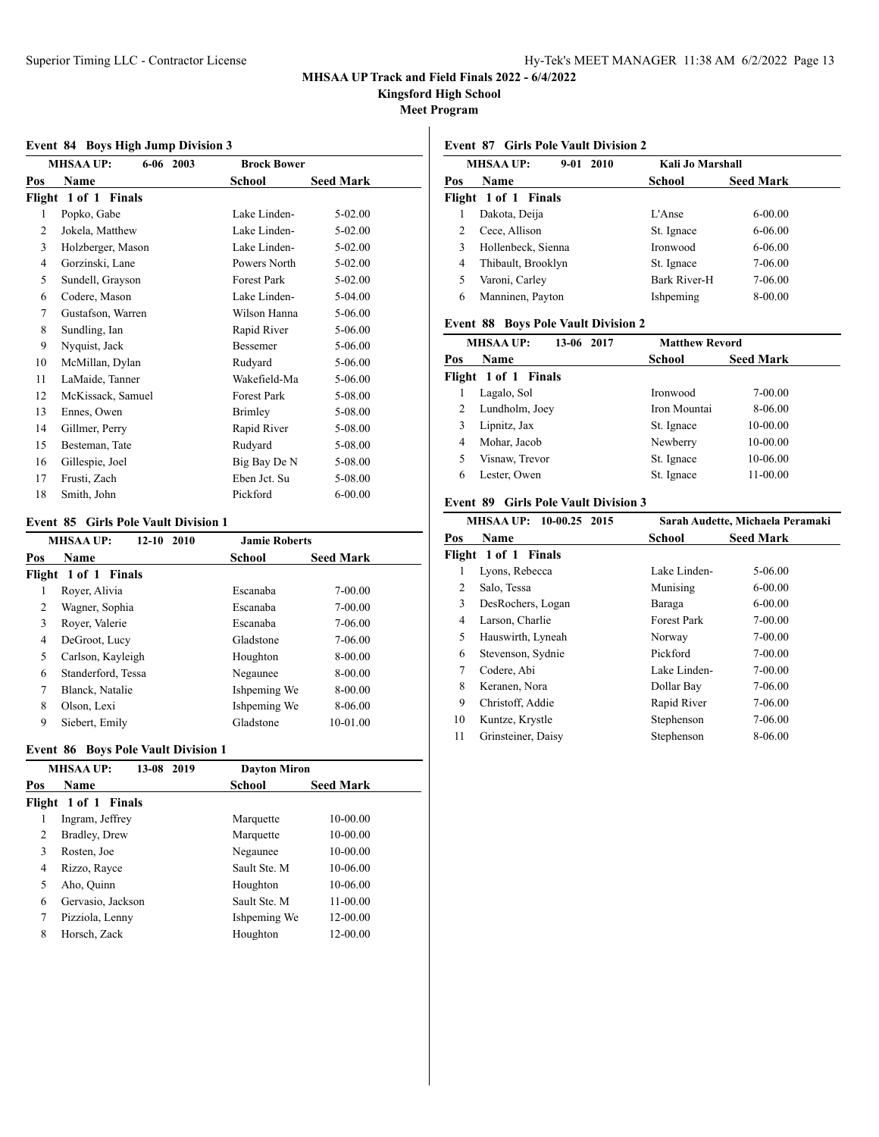**Kingsford High School**

**Meet Program**

#### **Event 84 Boys High Jump Division 3**

|     | $6-06$ 2003<br><b>MHSAA UP:</b> | <b>Brock Bower</b> |                  |
|-----|---------------------------------|--------------------|------------------|
| Pos | Name                            | School             | <b>Seed Mark</b> |
|     | Flight 1 of 1 Finals            |                    |                  |
| 1   | Popko, Gabe                     | Lake Linden-       | 5-02.00          |
| 2   | Jokela, Matthew                 | Lake Linden-       | 5-02.00          |
| 3   | Holzberger, Mason               | Lake Linden-       | 5-02.00          |
| 4   | Gorzinski, Lane                 | Powers North       | 5-02.00          |
| 5   | Sundell, Grayson                | Forest Park        | 5-02.00          |
| 6   | Codere, Mason                   | Lake Linden-       | 5-04.00          |
| 7   | Gustafson, Warren               | Wilson Hanna       | 5-06.00          |
| 8   | Sundling, Ian                   | Rapid River        | 5-06.00          |
| 9   | Nyquist, Jack                   | <b>Bessemer</b>    | 5-06.00          |
| 10  | McMillan, Dylan                 | Rudyard            | 5-06.00          |
| 11  | LaMaide, Tanner                 | Wakefield-Ma       | 5-06.00          |
| 12  | McKissack, Samuel               | <b>Forest Park</b> | 5-08.00          |
| 13  | Ennes, Owen                     | <b>Brimley</b>     | 5-08.00          |
| 14  | Gillmer, Perry                  | Rapid River        | 5-08.00          |
| 15  | Besteman, Tate                  | Rudyard            | 5-08.00          |
| 16  | Gillespie, Joel                 | Big Bay De N       | 5-08.00          |
| 17  | Frusti, Zach                    | Eben Jct. Su       | 5-08.00          |
| 18  | Smith, John                     | Pickford           | $6 - 00.00$      |

### **Event 85 Girls Pole Vault Division 1**

|        | <b>MHSAA UP:</b><br>$12 - 10$<br>2010 | <b>Jamie Roberts</b> |                  |
|--------|---------------------------------------|----------------------|------------------|
| Pos    | <b>Name</b>                           | School               | <b>Seed Mark</b> |
|        | Flight 1 of 1 Finals                  |                      |                  |
| 1      | Royer, Alivia                         | Escanaba             | 7-00.00          |
| 2      | Wagner, Sophia                        | Escanaba             | 7-00.00          |
| 3      | Royer, Valerie                        | Escanaba             | 7-06.00          |
| 4      | DeGroot, Lucy                         | Gladstone            | 7-06.00          |
| 5      | Carlson, Kayleigh                     | Houghton             | 8-00.00          |
| 6      | Standerford, Tessa                    | Negaunee             | 8-00.00          |
| $\tau$ | Blanck, Natalie                       | Ishpeming We         | 8-00.00          |
| 8      | Olson, Lexi                           | Ishpeming We         | 8-06.00          |
| 9      | Siebert, Emily                        | Gladstone            | 10-01.00         |

## **Event 86 Boys Pole Vault Division 1**

| $13-08$<br>2019   | <b>Dayton Miron</b>                      |                  |
|-------------------|------------------------------------------|------------------|
| <b>Name</b>       | <b>School</b>                            | <b>Seed Mark</b> |
|                   |                                          |                  |
| Ingram, Jeffrey   | Marquette                                | 10-00.00         |
| Bradley, Drew     | Marquette                                | 10-00.00         |
| Rosten, Joe       | Negaunee                                 | 10-00.00         |
| Rizzo, Rayce      | Sault Ste. M                             | 10-06.00         |
| Aho, Quinn        | Houghton                                 | 10-06.00         |
| Gervasio, Jackson | Sault Ste. M                             | 11-00.00         |
| Pizziola, Lenny   | Ishpeming We                             | 12-00.00         |
| Horsch, Zack      | Houghton                                 | 12-00.00         |
|                   | <b>MHSAA UP:</b><br>Flight 1 of 1 Finals |                  |

## **Event 87 Girls Pole Vault Division 2**

|     | <b>MHSAA UP:</b><br>$9-01$<br>2010 | Kali Jo Marshall |                  |
|-----|------------------------------------|------------------|------------------|
| Pos | Name                               | School           | <b>Seed Mark</b> |
|     | Flight 1 of 1 Finals               |                  |                  |
|     | Dakota, Deija                      | L'Anse           | $6 - 00.00$      |
| 2   | Cece, Allison                      | St. Ignace       | 6-06.00          |
| 3   | Hollenbeck, Sienna                 | Ironwood         | 6-06.00          |
| 4   | Thibault, Brooklyn                 | St. Ignace       | 7-06.00          |
| 5   | Varoni, Carley                     | Bark River-H     | 7-06.00          |
| 6   | Manninen, Payton                   | Ishpeming        | 8-00.00          |

# **Event 88 Boys Pole Vault Division 2**

|     | <b>MHSAA UP:</b><br>13-06 2017 | <b>Matthew Revord</b> |                  |
|-----|--------------------------------|-----------------------|------------------|
| Pos | <b>Name</b>                    | School                | <b>Seed Mark</b> |
|     | Flight 1 of 1 Finals           |                       |                  |
|     | Lagalo, Sol                    | Ironwood              | 7-00.00          |
| 2   | Lundholm, Joey                 | Iron Mountai          | 8-06.00          |
| 3   | Lipnitz, Jax                   | St. Ignace            | 10-00.00         |
| 4   | Mohar, Jacob                   | Newberry              | 10-00.00         |
| 5   | Visnaw, Trevor                 | St. Ignace            | 10-06.00         |
| 6   | Lester, Owen                   | St. Ignace            | 11-00.00         |

### **Event 89 Girls Pole Vault Division 3**

| MHSAA UP: 10-00.25 2015 |                      | Sarah Audette, Michaela Peramaki |                  |
|-------------------------|----------------------|----------------------------------|------------------|
| Pos                     | <b>Name</b>          | School                           | <b>Seed Mark</b> |
|                         | Flight 1 of 1 Finals |                                  |                  |
|                         | Lyons, Rebecca       | Lake Linden-                     | 5-06.00          |
| 2                       | Salo, Tessa          | Munising                         | $6 - 00.00$      |
| 3                       | DesRochers, Logan    | Baraga                           | $6 - 00.00$      |
| 4                       | Larson, Charlie      | <b>Forest Park</b>               | 7-00.00          |
| 5                       | Hauswirth, Lyneah    | Norway                           | 7-00.00          |
| 6                       | Stevenson, Sydnie    | Pickford                         | 7-00.00          |
| 7                       | Codere, Abi          | Lake Linden-                     | 7-00.00          |
| 8                       | Keranen, Nora        | Dollar Bay                       | 7-06.00          |
| 9                       | Christoff, Addie     | Rapid River                      | 7-06.00          |
| 10                      | Kuntze, Krystle      | Stephenson                       | 7-06.00          |
| 11                      | Grinsteiner, Daisy   | Stephenson                       | 8-06.00          |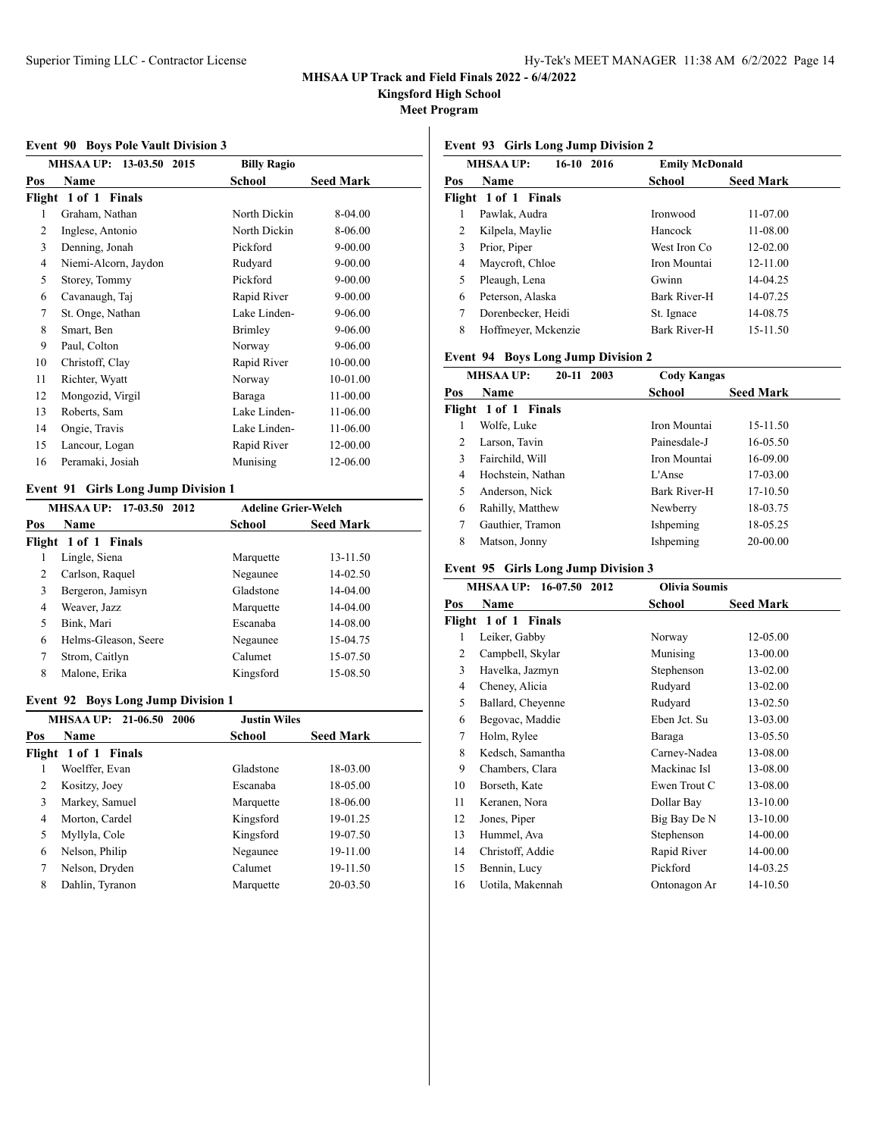**Kingsford High School**

**Meet Program**

#### **Event 90 Boys Pole Vault Division 3**

|     | MHSAA UP: 13-03.50 2015 | <b>Billy Ragio</b> |                  |
|-----|-------------------------|--------------------|------------------|
| Pos | Name                    | School             | <b>Seed Mark</b> |
|     | Flight 1 of 1 Finals    |                    |                  |
| 1   | Graham, Nathan          | North Dickin       | 8-04.00          |
| 2   | Inglese, Antonio        | North Dickin       | 8-06.00          |
| 3   | Denning, Jonah          | Pickford           | $9 - 00.00$      |
| 4   | Niemi-Alcorn, Jaydon    | Rudyard            | $9 - 00.00$      |
| 5   | Storey, Tommy           | Pickford           | $9 - 00.00$      |
| 6   | Cavanaugh, Taj          | Rapid River        | 9-00.00          |
| 7   | St. Onge, Nathan        | Lake Linden-       | 9-06.00          |
| 8   | Smart, Ben              | Brimley            | 9-06.00          |
| 9   | Paul, Colton            | Norway             | 9-06.00          |
| 10  | Christoff, Clay         | Rapid River        | 10-00.00         |
| 11  | Richter, Wyatt          | Norway             | 10-01.00         |
| 12  | Mongozid, Virgil        | Baraga             | 11-00.00         |
| 13  | Roberts, Sam            | Lake Linden-       | 11-06.00         |
| 14  | Ongie, Travis           | Lake Linden-       | 11-06.00         |
| 15  | Lancour, Logan          | Rapid River        | 12-00.00         |
| 16  | Peramaki, Josiah        | Munising           | 12-06.00         |
|     |                         |                    |                  |

## **Event 91 Girls Long Jump Division 1**

| MHSAA UP: 17-03.50 2012 |                      | <b>Adeline Grier-Welch</b> |                  |  |
|-------------------------|----------------------|----------------------------|------------------|--|
| Pos                     | Name                 | School                     | <b>Seed Mark</b> |  |
|                         | Flight 1 of 1 Finals |                            |                  |  |
|                         | Lingle, Siena        | Marquette                  | 13-11.50         |  |
| 2                       | Carlson, Raquel      | Negaunee                   | 14-02.50         |  |
| 3                       | Bergeron, Jamisyn    | Gladstone                  | 14-04.00         |  |
| 4                       | Weaver, Jazz         | Marquette                  | $14-04.00$       |  |
| 5                       | Bink, Mari           | Escanaba                   | 14-08.00         |  |
| 6                       | Helms-Gleason, Seere | Negaunee                   | 15-04.75         |  |
| 7                       | Strom, Caitlyn       | Calumet                    | 15-07.50         |  |
| 8                       | Malone, Erika        | Kingsford                  | 15-08.50         |  |

### **Event 92 Boys Long Jump Division 1**

|     | <b>MHSAA UP:</b> 21-06.50<br>2006 | <b>Justin Wiles</b> |                  |
|-----|-----------------------------------|---------------------|------------------|
| Pos | Name                              | School              | <b>Seed Mark</b> |
|     | Flight 1 of 1 Finals              |                     |                  |
|     | Woelffer, Evan                    | Gladstone           | 18-03.00         |
| 2   | Kositzy, Joey                     | Escanaba            | 18-05.00         |
| 3   | Markey, Samuel                    | Marquette           | 18-06.00         |
| 4   | Morton, Cardel                    | Kingsford           | 19-01.25         |
| 5   | Myllyla, Cole                     | Kingsford           | 19-07.50         |
| 6   | Nelson, Philip                    | Negaunee            | 19-11.00         |
| 7   | Nelson, Dryden                    | Calumet             | 19-11.50         |
| 8   | Dahlin, Tyranon                   | Marquette           | 20-03.50         |

## **Event 93 Girls Long Jump Division 2**

|     | <b>MHSAA UP:</b><br>16-10 2016 | <b>Emily McDonald</b> |                  |
|-----|--------------------------------|-----------------------|------------------|
| Pos | <b>Name</b>                    | School                | <b>Seed Mark</b> |
|     | Flight 1 of 1 Finals           |                       |                  |
|     | Pawlak, Audra                  | Ironwood              | 11-07.00         |
| 2   | Kilpela, Maylie                | Hancock               | 11-08.00         |
| 3   | Prior, Piper                   | West Iron Co          | $12 - 02.00$     |
| 4   | Maycroft, Chloe                | Iron Mountai          | $12 - 11.00$     |
| 5   | Pleaugh, Lena                  | Gwinn                 | 14-04.25         |
| 6   | Peterson, Alaska               | Bark River-H          | 14-07.25         |
| 7   | Dorenbecker, Heidi             | St. Ignace            | 14-08.75         |
| 8   | Hoffmeyer, Mckenzie            | <b>Bark River-H</b>   | $15 - 11.50$     |

## **Event 94 Boys Long Jump Division 2**

|     | <b>MHSAA UP:</b><br>20-11 2003 | <b>Cody Kangas</b>  |                  |
|-----|--------------------------------|---------------------|------------------|
| Pos | <b>Name</b>                    | School              | <b>Seed Mark</b> |
|     | Flight 1 of 1 Finals           |                     |                  |
|     | Wolfe, Luke                    | Iron Mountai        | 15-11.50         |
| 2   | Larson, Tavin                  | Painesdale-J        | 16-05.50         |
| 3   | Fairchild, Will                | Iron Mountai        | 16-09.00         |
| 4   | Hochstein, Nathan              | L'Anse              | 17-03.00         |
| 5   | Anderson, Nick                 | <b>Bark River-H</b> | 17-10.50         |
| 6   | Rahilly, Matthew               | Newberry            | 18-03.75         |
| 7   | Gauthier, Tramon               | Ishpeming           | 18-05.25         |
| 8   | Matson, Jonny                  | Ishpeming           | 20-00.00         |

## **Event 95 Girls Long Jump Division 3**

| <b>MHSAA UP:</b><br>16-07.50<br>2012 |                      | <b>Olivia Soumis</b> |                  |  |
|--------------------------------------|----------------------|----------------------|------------------|--|
| Pos                                  | Name                 | School               | <b>Seed Mark</b> |  |
|                                      | Flight 1 of 1 Finals |                      |                  |  |
| 1                                    | Leiker, Gabby        | Norway               | 12-05.00         |  |
| 2                                    | Campbell, Skylar     | Munising             | 13-00.00         |  |
| 3                                    | Havelka, Jazmyn      | Stephenson           | 13-02.00         |  |
| 4                                    | Cheney, Alicia       | Rudyard              | 13-02.00         |  |
| 5                                    | Ballard, Cheyenne    | Rudyard              | 13-02.50         |  |
| 6                                    | Begovac, Maddie      | Eben Jct. Su         | 13-03.00         |  |
| 7                                    | Holm, Rylee          | Baraga               | 13-05.50         |  |
| 8                                    | Kedsch, Samantha     | Carney-Nadea         | 13-08.00         |  |
| 9                                    | Chambers, Clara      | Mackinac Isl         | 13-08.00         |  |
| 10                                   | Borseth, Kate        | Ewen Trout C         | 13-08.00         |  |
| 11                                   | Keranen, Nora        | Dollar Bay           | 13-10.00         |  |
| 12                                   | Jones, Piper         | Big Bay De N         | 13-10.00         |  |
| 13                                   | Hummel, Ava          | Stephenson           | 14-00.00         |  |
| 14                                   | Christoff, Addie     | Rapid River          | 14-00.00         |  |
| 15                                   | Bennin, Lucy         | Pickford             | 14-03.25         |  |
| 16                                   | Uotila, Makennah     | Ontonagon Ar         | 14-10.50         |  |
|                                      |                      |                      |                  |  |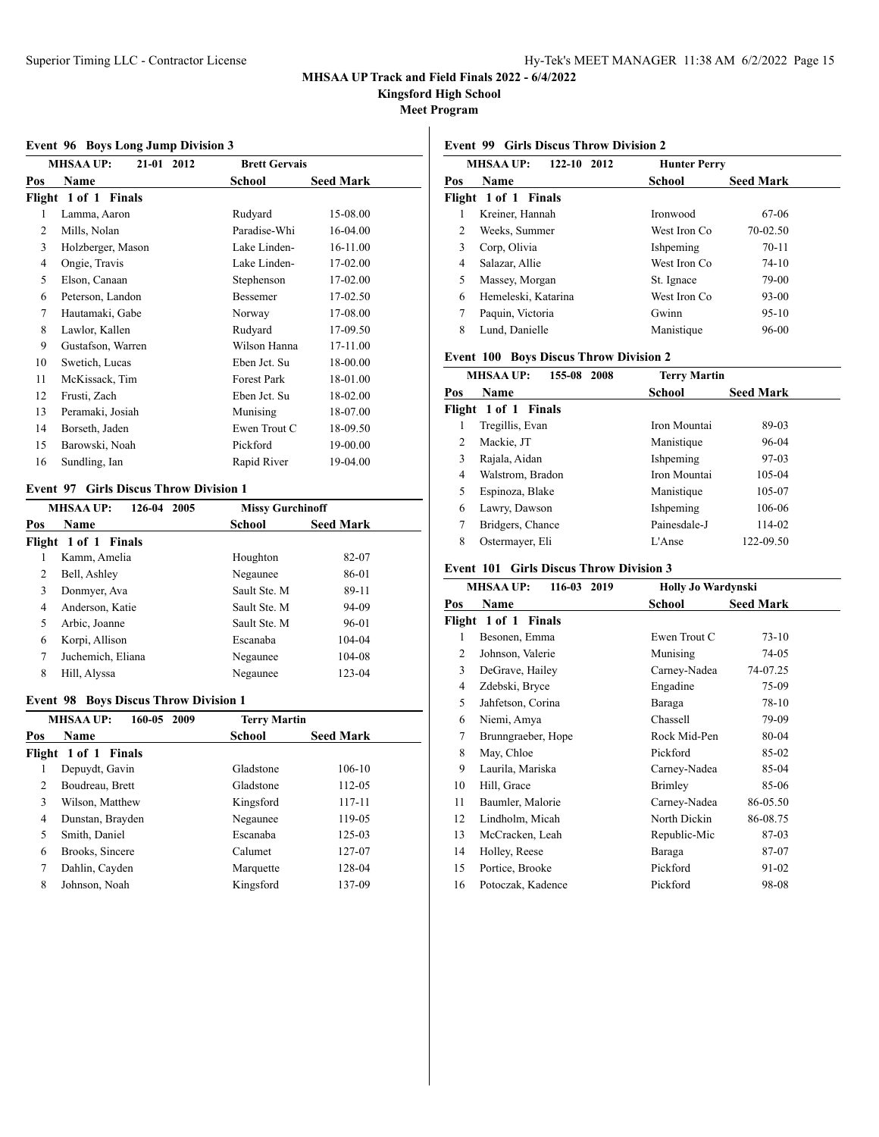**Kingsford High School**

**Meet Program**

#### **Event 96 Boys Long Jump Division 3**

| $20,0.20$ mg $\sigma$ amp $21,0.00$ |                                |                      |                  |
|-------------------------------------|--------------------------------|----------------------|------------------|
|                                     | <b>MHSAA UP:</b><br>21-01 2012 | <b>Brett Gervais</b> |                  |
| Pos                                 | Name                           | School               | <b>Seed Mark</b> |
|                                     | Flight 1 of 1 Finals           |                      |                  |
| 1                                   | Lamma, Aaron                   | Rudyard              | 15-08.00         |
| 2                                   | Mills, Nolan                   | Paradise-Whi         | 16-04.00         |
| 3                                   | Holzberger, Mason              | Lake Linden-         | 16-11.00         |
| 4                                   | Ongie, Travis                  | Lake Linden-         | 17-02.00         |
| 5                                   | Elson, Canaan                  | Stephenson           | 17-02.00         |
| 6                                   | Peterson, Landon               | Bessemer             | 17-02.50         |
| 7                                   | Hautamaki, Gabe                | Norway               | 17-08.00         |
| 8                                   | Lawlor, Kallen                 | Rudyard              | 17-09.50         |
| 9                                   | Gustafson, Warren              | Wilson Hanna         | 17-11.00         |
| 10                                  | Swetich, Lucas                 | Eben Jct. Su         | 18-00.00         |
| 11                                  | McKissack, Tim                 | Forest Park          | 18-01.00         |
| 12                                  | Frusti, Zach                   | Eben Jct. Su         | 18-02.00         |
| 13                                  | Peramaki, Josiah               | Munising             | 18-07.00         |
| 14                                  | Borseth, Jaden                 | Ewen Trout C         | 18-09.50         |
| 15                                  | Barowski, Noah                 | Pickford             | 19-00.00         |
| 16                                  | Sundling, Ian                  | Rapid River          | 19-04.00         |
|                                     |                                |                      |                  |

### **Event 97 Girls Discus Throw Division 1**

|     | 126-04<br><b>MHSAA UP:</b><br>2005 | <b>Missy Gurchinoff</b> |                  |
|-----|------------------------------------|-------------------------|------------------|
| Pos | Name                               | School                  | <b>Seed Mark</b> |
|     | Flight 1 of 1 Finals               |                         |                  |
|     | Kamm, Amelia                       | Houghton                | 82-07            |
| 2   | Bell, Ashley                       | Negaunee                | 86-01            |
| 3   | Donmyer, Ava                       | Sault Ste. M            | 89-11            |
| 4   | Anderson, Katie                    | Sault Ste. M            | 94-09            |
| 5   | Arbic, Joanne                      | Sault Ste. M            | 96-01            |
| 6   | Korpi, Allison                     | Escanaba                | 104-04           |
| 7   | Juchemich, Eliana                  | Negaunee                | 104-08           |
| 8   | Hill, Alyssa                       | Negaunee                | 123-04           |

### **Event 98 Boys Discus Throw Division 1**

|                | <b>MHSAA UP:</b><br>160-05 2009 | <b>Terry Martin</b> |                  |
|----------------|---------------------------------|---------------------|------------------|
| Pos            | <b>Name</b>                     | School              | <b>Seed Mark</b> |
|                | Flight 1 of 1 Finals            |                     |                  |
| 1              | Depuydt, Gavin                  | Gladstone           | 106-10           |
| $\overline{c}$ | Boudreau, Brett                 | Gladstone           | 112-05           |
| 3              | Wilson, Matthew                 | Kingsford           | 117-11           |
| 4              | Dunstan, Brayden                | Negaunee            | 119-05           |
| 5              | Smith, Daniel                   | Escanaba            | 125-03           |
| 6              | Brooks, Sincere                 | Calumet             | 127-07           |
| 7              | Dahlin, Cayden                  | Marquette           | 128-04           |
| 8              | Johnson, Noah                   | Kingsford           | 137-09           |

## **Event 99 Girls Discus Throw Division 2**

| <b>MHSAA UP:</b><br>$122 - 10$<br>2012 |                      | <b>Hunter Perry</b> |                  |
|----------------------------------------|----------------------|---------------------|------------------|
| Pos                                    | <b>Name</b>          | School              | <b>Seed Mark</b> |
|                                        | Flight 1 of 1 Finals |                     |                  |
|                                        | Kreiner, Hannah      | Ironwood            | 67-06            |
| 2                                      | Weeks, Summer        | West Iron Co        | 70-02.50         |
| 3                                      | Corp, Olivia         | Ishpeming           | $70 - 11$        |
| 4                                      | Salazar, Allie       | West Iron Co.       | $74-10$          |
| 5                                      | Massey, Morgan       | St. Ignace          | 79-00            |
| 6                                      | Hemeleski, Katarina  | West Iron Co        | 93-00            |
| 7                                      | Paquin, Victoria     | Gwinn               | $95-10$          |
| 8                                      | Lund, Danielle       | Manistique          | 96-00            |

### **Event 100 Boys Discus Throw Division 2**

| <b>MHSAA UP:</b><br>155-08 2008 |                      | <b>Terry Martin</b> |                  |
|---------------------------------|----------------------|---------------------|------------------|
| Pos                             | Name                 | School              | <b>Seed Mark</b> |
|                                 | Flight 1 of 1 Finals |                     |                  |
|                                 | Tregillis, Evan      | Iron Mountai        | 89-03            |
| 2                               | Mackie, JT           | Manistique          | 96-04            |
| 3                               | Rajala, Aidan        | Ishpeming           | 97-03            |
| 4                               | Walstrom, Bradon     | Iron Mountai        | 105-04           |
| 5                               | Espinoza, Blake      | Manistique          | 105-07           |
| 6                               | Lawry, Dawson        | Ishpeming           | 106-06           |
|                                 | Bridgers, Chance     | Painesdale-J        | 114-02           |
| 8                               | Ostermayer, Eli      | L'Anse              | 122-09.50        |

### **Event 101 Girls Discus Throw Division 3**

|     | <b>MHSAA UP:</b><br>116-03<br>2019 | <b>Holly Jo Wardynski</b> |                  |  |
|-----|------------------------------------|---------------------------|------------------|--|
| Pos | Name                               | School                    | <b>Seed Mark</b> |  |
|     | Flight 1 of 1 Finals               |                           |                  |  |
| 1   | Besonen, Emma                      | Ewen Trout C              | $73-10$          |  |
| 2   | Johnson, Valerie                   | Munising                  | 74-05            |  |
| 3   | DeGrave, Hailey                    | Carney-Nadea              | 74-07.25         |  |
| 4   | Zdebski, Bryce                     | Engadine                  | 75-09            |  |
| 5   | Jahfetson, Corina                  | Baraga                    | 78-10            |  |
| 6   | Niemi, Amya                        | Chassell                  | 79-09            |  |
| 7   | Brunngraeber, Hope                 | Rock Mid-Pen              | 80-04            |  |
| 8   | May, Chloe                         | Pickford                  | 85-02            |  |
| 9   | Laurila, Mariska                   | Carney-Nadea              | 85-04            |  |
| 10  | Hill, Grace                        | Brimley                   | 85-06            |  |
| 11  | Baumler, Malorie                   | Carney-Nadea              | 86-05.50         |  |
| 12  | Lindholm, Micah                    | North Dickin              | 86-08.75         |  |
| 13  | McCracken, Leah                    | Republic-Mic              | 87-03            |  |
| 14  | Holley, Reese                      | Baraga                    | 87-07            |  |
| 15  | Portice, Brooke                    | Pickford                  | 91-02            |  |
| 16  | Potoczak, Kadence                  | Pickford                  | 98-08            |  |
|     |                                    |                           |                  |  |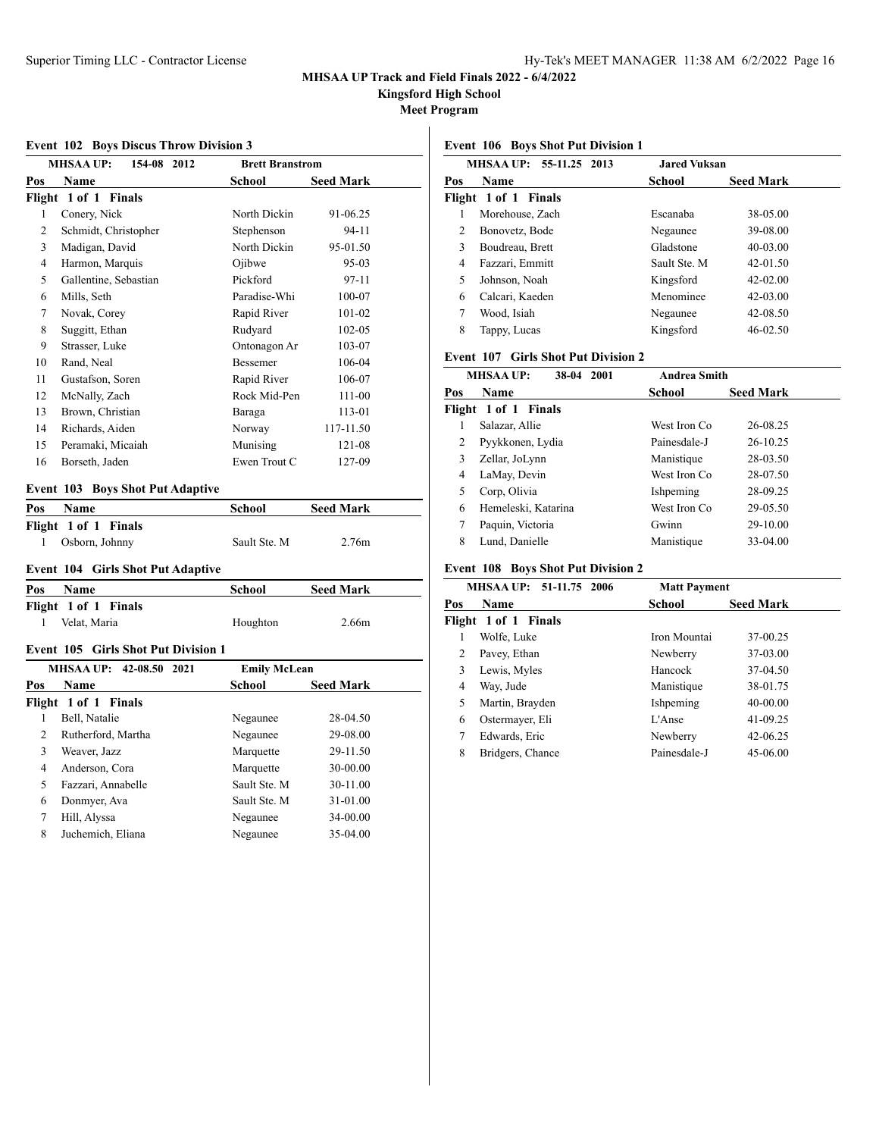**Kingsford High School**

**Meet Program**

#### **Event 102 Boys Discus Throw Division 3**

| $\frac{1}{200}$ $\frac{1}{200}$ $\frac{1}{200}$ $\frac{1}{200}$ $\frac{1}{200}$ $\frac{1}{200}$ $\frac{1}{200}$ $\frac{1}{200}$ |                                 |                        |                  |  |
|---------------------------------------------------------------------------------------------------------------------------------|---------------------------------|------------------------|------------------|--|
|                                                                                                                                 | <b>MHSAA UP:</b><br>154-08 2012 | <b>Brett Branstrom</b> |                  |  |
| Pos                                                                                                                             | Name                            | School                 | <b>Seed Mark</b> |  |
|                                                                                                                                 | Flight 1 of 1 Finals            |                        |                  |  |
| 1                                                                                                                               | Conery, Nick                    | North Dickin           | 91-06.25         |  |
| 2                                                                                                                               | Schmidt, Christopher            | Stephenson             | 94-11            |  |
| 3                                                                                                                               | Madigan, David                  | North Dickin           | 95-01.50         |  |
| 4                                                                                                                               | Harmon, Marquis                 | Ojibwe                 | 95-03            |  |
| 5                                                                                                                               | Gallentine, Sebastian           | Pickford               | 97-11            |  |
| 6                                                                                                                               | Mills, Seth                     | Paradise-Whi           | 100-07           |  |
| 7                                                                                                                               | Novak, Corey                    | Rapid River            | 101-02           |  |
| 8                                                                                                                               | Suggitt, Ethan                  | Rudyard                | 102-05           |  |
| 9                                                                                                                               | Strasser, Luke                  | Ontonagon Ar           | 103-07           |  |
| 10                                                                                                                              | Rand, Neal                      | Bessemer               | 106-04           |  |
| 11                                                                                                                              | Gustafson, Soren                | Rapid River            | 106-07           |  |
| 12                                                                                                                              | McNally, Zach                   | Rock Mid-Pen           | 111-00           |  |
| 13                                                                                                                              | Brown, Christian                | Baraga                 | 113-01           |  |
| 14                                                                                                                              | Richards, Aiden                 | Norway                 | 117-11.50        |  |
| 15                                                                                                                              | Peramaki, Micaiah               | Munising               | 121-08           |  |
| 16                                                                                                                              | Borseth, Jaden                  | Ewen Trout C           | 127-09           |  |
|                                                                                                                                 |                                 |                        |                  |  |

## **Event 103 Boys Shot Put Adaptive**

| School       | <b>Seed Mark</b> |
|--------------|------------------|
|              |                  |
| Sault Ste. M | 2.76m            |
|              |                  |

# **Event 104 Girls Shot Put Adaptive**

| Pos | <b>Name</b>          | <b>School</b> | <b>Seed Mark</b> |
|-----|----------------------|---------------|------------------|
|     | Flight 1 of 1 Finals |               |                  |
|     | Velat, Maria         | Houghton      | 2.66m            |

## **Event 105 Girls Shot Put Division 1**

|     | MHSAA UP: 42-08.50 2021 | <b>Emily McLean</b> |                  |
|-----|-------------------------|---------------------|------------------|
| Pos | Name                    | <b>School</b>       | <b>Seed Mark</b> |
|     | Flight 1 of 1 Finals    |                     |                  |
|     | Bell, Natalie           | Negaunee            | 28-04.50         |
| 2   | Rutherford, Martha      | Negaunee            | 29-08.00         |
| 3   | Weaver, Jazz            | Marquette           | 29-11.50         |
| 4   | Anderson, Cora          | Marquette           | 30-00.00         |
| 5   | Fazzari, Annabelle      | Sault Ste. M        | 30-11.00         |
| 6   | Donmyer, Ava            | Sault Ste. M        | 31-01.00         |
| 7   | Hill, Alyssa            | Negaunee            | 34-00.00         |
| 8   | Juchemich, Eliana       | Negaunee            | 35-04.00         |

### **Event 106 Boys Shot Put Division 1**

| <b>MHSAA UP:</b><br>55-11.25 2013 | <b>Jared Vuksan</b> |                  |
|-----------------------------------|---------------------|------------------|
| <b>Name</b><br>Pos                | School              | <b>Seed Mark</b> |
| Flight 1 of 1 Finals              |                     |                  |
| Morehouse, Zach                   | Escanaba            | 38-05.00         |
| 2<br>Bonovetz, Bode               | Negaunee            | 39-08.00         |
| 3<br>Boudreau, Brett              | Gladstone           | $40 - 03.00$     |
| Fazzari, Emmitt<br>4              | Sault Ste. M        | $42 - 01.50$     |
| 5<br>Johnson, Noah                | Kingsford           | $42 - 02.00$     |
| Calcari, Kaeden<br>6              | Menominee           | 42-03.00         |
| 7<br>Wood, Isiah                  | Negaunee            | 42-08.50         |
| 8<br>Tappy, Lucas                 | Kingsford           | 46-02.50         |
|                                   |                     |                  |

# **Event 107 Girls Shot Put Division 2**

| <b>MHSAA UP:</b><br>38-04 2001 |                      | <b>Andrea Smith</b> |                  |
|--------------------------------|----------------------|---------------------|------------------|
| Pos                            | Name                 | School              | <b>Seed Mark</b> |
|                                | Flight 1 of 1 Finals |                     |                  |
|                                | Salazar, Allie       | West Iron Co.       | 26-08.25         |
| 2                              | Pyykkonen, Lydia     | Painesdale-J        | 26-10.25         |
| 3                              | Zellar, JoLynn       | Manistique          | 28-03.50         |
| 4                              | LaMay, Devin         | West Iron Co.       | 28-07.50         |
| 5                              | Corp, Olivia         | Ishpeming           | 28-09.25         |
| 6                              | Hemeleski, Katarina  | West Iron Co        | 29-05.50         |
| 7                              | Paquin, Victoria     | Gwinn               | 29-10.00         |
| 8                              | Lund, Danielle       | Manistique          | 33-04.00         |

## **Event 108 Boys Shot Put Division 2**

| MHSAA UP: 51-11.75 2006 |                      | <b>Matt Payment</b> |                  |  |
|-------------------------|----------------------|---------------------|------------------|--|
| Pos                     | <b>Name</b>          | School              | <b>Seed Mark</b> |  |
|                         | Flight 1 of 1 Finals |                     |                  |  |
| 1                       | Wolfe, Luke          | Iron Mountai        | 37-00.25         |  |
| 2                       | Pavey, Ethan         | Newberry            | 37-03.00         |  |
| 3                       | Lewis, Myles         | Hancock             | 37-04.50         |  |
| 4                       | Way, Jude            | Manistique          | 38-01.75         |  |
| 5                       | Martin, Brayden      | Ishpeming           | 40-00.00         |  |
| 6                       | Ostermayer, Eli      | L'Anse              | 41-09.25         |  |
|                         | Edwards, Eric        | Newberry            | 42-06.25         |  |
| 8                       | Bridgers, Chance     | Painesdale-J        | 45-06.00         |  |
|                         |                      |                     |                  |  |